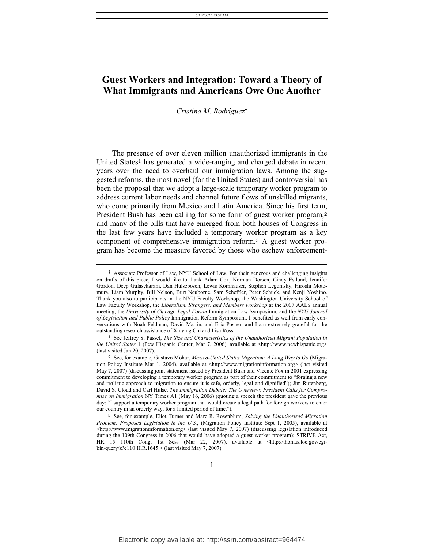# Guest Workers and Integration: Toward a Theory of What Immigrants and Americans Owe One Another

Cristina M. Rodríguez†

The presence of over eleven million unauthorized immigrants in the United States<sup>1</sup> has generated a wide-ranging and charged debate in recent years over the need to overhaul our immigration laws. Among the suggested reforms, the most novel (for the United States) and controversial has been the proposal that we adopt a large-scale temporary worker program to address current labor needs and channel future flows of unskilled migrants, who come primarily from Mexico and Latin America. Since his first term, President Bush has been calling for some form of guest worker program,<sup>2</sup> and many of the bills that have emerged from both houses of Congress in the last few years have included a temporary worker program as a key component of comprehensive immigration reform.3 A guest worker program has become the measure favored by those who eschew enforcement-

 <sup>†</sup> Associate Professor of Law, NYU School of Law. For their generous and challenging insights on drafts of this piece, I would like to thank Adam Cox, Norman Dorsen, Cindy Estlund, Jennifer Gordon, Deep Gulasekaram, Dan Hulsebosch, Lewis Kornhauser, Stephen Legomsky, Hiroshi Motomura, Liam Murphy, Bill Nelson, Burt Neuborne, Sam Scheffler, Peter Schuck, and Kenji Yoshino. Thank you also to participants in the NYU Faculty Workshop, the Washington University School of Law Faculty Workshop, the Liberalism, Strangers, and Members workshop at the 2007 AALS annual meeting, the University of Chicago Legal Forum Immigration Law Symposium, and the NYU Journal of Legislation and Public Policy Immigration Reform Symposium. I benefited as well from early conversations with Noah Feldman, David Martin, and Eric Posner, and I am extremely grateful for the outstanding research assistance of Xinying Chi and Lisa Ross.

 $<sup>1</sup>$  See Jeffrey S. Passel, The Size and Characteristics of the Unauthorized Migrant Population in</sup> the United States 1 (Pew Hispanic Center, Mar 7, 2006), available at <http://www.pewhispanic.org> (last visited Jan 20, 2007).

<sup>2</sup> See, for example, Gustavo Mohar, Mexico-United States Migration: A Long Way to Go (Migration Policy Institute Mar 1, 2004), available at <http://www.migrationinformation.org> (last visited May 7, 2007) (discussing joint statement issued by President Bush and Vicente Fox in 2001 expressing commitment to developing a temporary worker program as part of their commitment to "forging a new and realistic approach to migration to ensure it is safe, orderly, legal and dignified"); Jim Rutenberg, David S. Cloud and Carl Hulse, The Immigration Debate: The Overview; President Calls for Compromise on Immigration NY Times A1 (May 16, 2006) (quoting a speech the president gave the previous day: "I support a temporary worker program that would create a legal path for foreign workers to enter our country in an orderly way, for a limited period of time.").

<sup>3</sup> See, for example, Eliot Turner and Marc R. Rosenblum, Solving the Unauthorized Migration Problem: Proposed Legislation in the U.S., (Migration Policy Institute Sept 1, 2005), available at <http://www.migrationinformation.org> (last visited May 7, 2007) (discussing legislation introduced during the 109th Congress in 2006 that would have adopted a guest worker program); STRIVE Act, HR 15 110th Cong, 1st Sess (Mar 22, 2007), available at <http://thomas.loc.gov/cgibin/query/z?c110:H.R.1645:> (last visited May 7, 2007).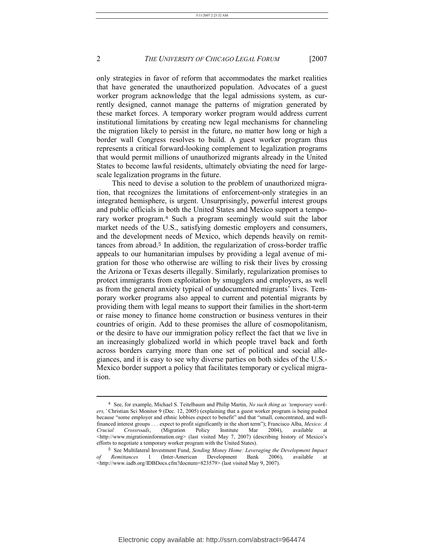only strategies in favor of reform that accommodates the market realities that have generated the unauthorized population. Advocates of a guest worker program acknowledge that the legal admissions system, as currently designed, cannot manage the patterns of migration generated by these market forces. A temporary worker program would address current institutional limitations by creating new legal mechanisms for channeling the migration likely to persist in the future, no matter how long or high a border wall Congress resolves to build. A guest worker program thus represents a critical forward-looking complement to legalization programs that would permit millions of unauthorized migrants already in the United States to become lawful residents, ultimately obviating the need for largescale legalization programs in the future.

This need to devise a solution to the problem of unauthorized migration, that recognizes the limitations of enforcement-only strategies in an integrated hemisphere, is urgent. Unsurprisingly, powerful interest groups and public officials in both the United States and Mexico support a temporary worker program.4 Such a program seemingly would suit the labor market needs of the U.S., satisfying domestic employers and consumers, and the development needs of Mexico, which depends heavily on remittances from abroad.5 In addition, the regularization of cross-border traffic appeals to our humanitarian impulses by providing a legal avenue of migration for those who otherwise are willing to risk their lives by crossing the Arizona or Texas deserts illegally. Similarly, regularization promises to protect immigrants from exploitation by smugglers and employers, as well as from the general anxiety typical of undocumented migrants' lives. Temporary worker programs also appeal to current and potential migrants by providing them with legal means to support their families in the short-term or raise money to finance home construction or business ventures in their countries of origin. Add to these promises the allure of cosmopolitanism, or the desire to have our immigration policy reflect the fact that we live in an increasingly globalized world in which people travel back and forth across borders carrying more than one set of political and social allegiances, and it is easy to see why diverse parties on both sides of the U.S.- Mexico border support a policy that facilitates temporary or cyclical migration.

l

Electronic copy available at: http://ssrn.com/abstract=964474

<sup>4</sup> See, for example, Michael S. Teitelbaum and Philip Martin, No such thing as 'temporary workers,' Christian Sci Monitor 9 (Dec. 12, 2005) (explaining that a guest worker program is being pushed because "some employer and ethnic lobbies expect to benefit" and that "small, concentrated, and wellfinanced interest groups . . . expect to profit significantly in the short term"); Francisco Alba, Mexico: A Crucial Crossroads, (Migration Policy Institute Mar 2004), available at Crossroads, (Migration Policy Institute Mar 2004), available at <http://www.migrationinformation.org> (last visited May 7, 2007) (describing history of Mexico's efforts to negotiate a temporary worker program with the United States).

<sup>5</sup> See Multilateral Investment Fund, Sending Money Home: Leveraging the Development Impact Remittances 1 (Inter-American Development Bank 2006), available at <http://www.iadb.org/IDBDocs.cfm?docnum=823579> (last visited May 9, 2007).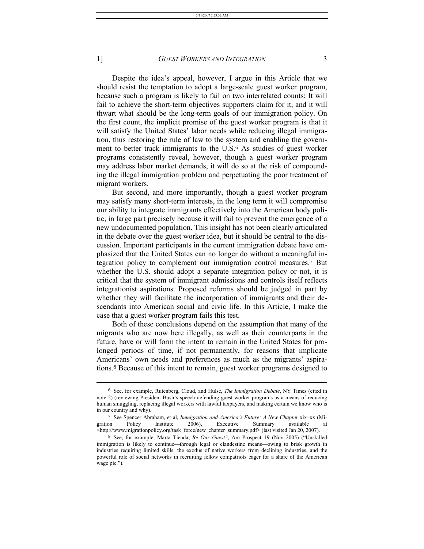Despite the idea's appeal, however, I argue in this Article that we should resist the temptation to adopt a large-scale guest worker program, because such a program is likely to fail on two interrelated counts: It will fail to achieve the short-term objectives supporters claim for it, and it will thwart what should be the long-term goals of our immigration policy. On the first count, the implicit promise of the guest worker program is that it will satisfy the United States' labor needs while reducing illegal immigration, thus restoring the rule of law to the system and enabling the government to better track immigrants to the U.S.6 As studies of guest worker programs consistently reveal, however, though a guest worker program may address labor market demands, it will do so at the risk of compounding the illegal immigration problem and perpetuating the poor treatment of migrant workers.

But second, and more importantly, though a guest worker program may satisfy many short-term interests, in the long term it will compromise our ability to integrate immigrants effectively into the American body politic, in large part precisely because it will fail to prevent the emergence of a new undocumented population. This insight has not been clearly articulated in the debate over the guest worker idea, but it should be central to the discussion. Important participants in the current immigration debate have emphasized that the United States can no longer do without a meaningful integration policy to complement our immigration control measures.7 But whether the U.S. should adopt a separate integration policy or not, it is critical that the system of immigrant admissions and controls itself reflects integrationist aspirations. Proposed reforms should be judged in part by whether they will facilitate the incorporation of immigrants and their descendants into American social and civic life. In this Article, I make the case that a guest worker program fails this test.

Both of these conclusions depend on the assumption that many of the migrants who are now here illegally, as well as their counterparts in the future, have or will form the intent to remain in the United States for prolonged periods of time, if not permanently, for reasons that implicate Americans' own needs and preferences as much as the migrants' aspirations.8 Because of this intent to remain, guest worker programs designed to

<sup>6</sup> See, for example, Rutenberg, Cloud, and Hulse, The Immigration Debate, NY Times (cited in note 2) (reviewing President Bush's speech defending guest worker programs as a means of reducing human smuggling, replacing illegal workers with lawful taxpayers, and making certain we know who is in our country and why).

<sup>7</sup> See Spencer Abraham, et al, Immigration and America's Future: A New Chapter xix–xx (Migration Policy Institute 2006), Executive Summary available <http://www.migrationpolicy.org/task\_force/new\_chapter\_summary.pdf> (last visited Jan 20, 2007).

<sup>8</sup> See, for example, Marta Tienda, Be Our Guest?, Am Prospect 19 (Nov 2005) ("Unskilled immigration is likely to continue—through legal or clandestine means—owing to brisk growth in industries requiring limited skills, the exodus of native workers from declining industries, and the powerful role of social networks in recruiting fellow compatriots eager for a share of the American wage pie.").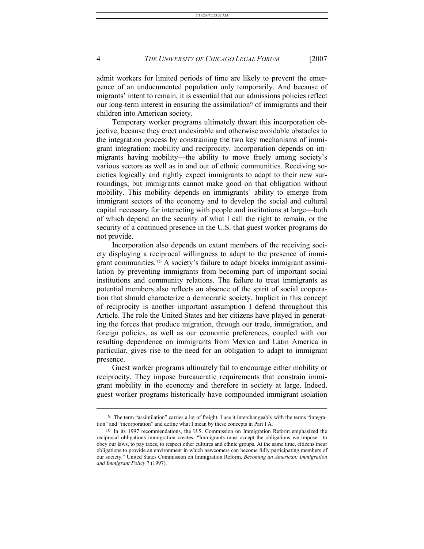admit workers for limited periods of time are likely to prevent the emergence of an undocumented population only temporarily. And because of migrants' intent to remain, it is essential that our admissions policies reflect our long-term interest in ensuring the assimilation9 of immigrants and their children into American society.

Temporary worker programs ultimately thwart this incorporation objective, because they erect undesirable and otherwise avoidable obstacles to the integration process by constraining the two key mechanisms of immigrant integration: mobility and reciprocity. Incorporation depends on immigrants having mobility—the ability to move freely among society's various sectors as well as in and out of ethnic communities. Receiving societies logically and rightly expect immigrants to adapt to their new surroundings, but immigrants cannot make good on that obligation without mobility. This mobility depends on immigrants' ability to emerge from immigrant sectors of the economy and to develop the social and cultural capital necessary for interacting with people and institutions at large—both of which depend on the security of what I call the right to remain, or the security of a continued presence in the U.S. that guest worker programs do not provide.

Incorporation also depends on extant members of the receiving society displaying a reciprocal willingness to adapt to the presence of immigrant communities.10 A society's failure to adapt blocks immigrant assimilation by preventing immigrants from becoming part of important social institutions and community relations. The failure to treat immigrants as potential members also reflects an absence of the spirit of social cooperation that should characterize a democratic society. Implicit in this concept of reciprocity is another important assumption I defend throughout this Article. The role the United States and her citizens have played in generating the forces that produce migration, through our trade, immigration, and foreign policies, as well as our economic preferences, coupled with our resulting dependence on immigrants from Mexico and Latin America in particular, gives rise to the need for an obligation to adapt to immigrant presence.

Guest worker programs ultimately fail to encourage either mobility or reciprocity. They impose bureaucratic requirements that constrain immigrant mobility in the economy and therefore in society at large. Indeed, guest worker programs historically have compounded immigrant isolation

<sup>9</sup> The term "assimilation" carries a lot of freight. I use it interchangeably with the terms "integration" and "incorporation" and define what I mean by these concepts in Part I A.

<sup>10</sup> In its 1997 recommendations, the U.S. Commission on Immigration Reform emphasized the reciprocal obligations immigration creates. "Immigrants must accept the obligations we impose—to obey our laws, to pay taxes, to respect other cultures and ethnic groups. At the same time, citizens incur obligations to provide an environment in which newcomers can become fully participating members of our society." United States Commission on Immigration Reform, Becoming an American: Immigration and Immigrant Policy 7 (1997).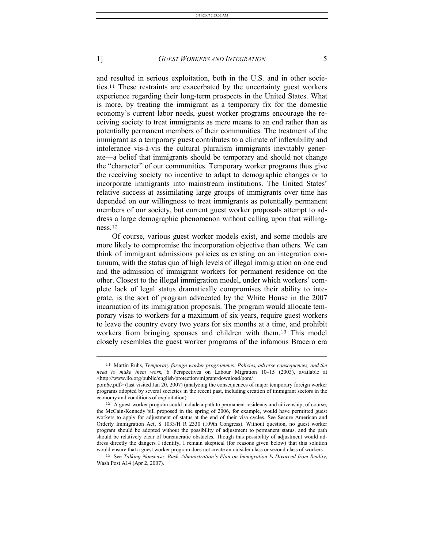and resulted in serious exploitation, both in the U.S. and in other societies.11 These restraints are exacerbated by the uncertainty guest workers experience regarding their long-term prospects in the United States. What is more, by treating the immigrant as a temporary fix for the domestic economy's current labor needs, guest worker programs encourage the receiving society to treat immigrants as mere means to an end rather than as potentially permanent members of their communities. The treatment of the immigrant as a temporary guest contributes to a climate of inflexibility and intolerance vis-à-vis the cultural pluralism immigrants inevitably generate—a belief that immigrants should be temporary and should not change the "character" of our communities. Temporary worker programs thus give the receiving society no incentive to adapt to demographic changes or to incorporate immigrants into mainstream institutions. The United States' relative success at assimilating large groups of immigrants over time has depended on our willingness to treat immigrants as potentially permanent members of our society, but current guest worker proposals attempt to address a large demographic phenomenon without calling upon that willingness.<sup>12</sup>

Of course, various guest worker models exist, and some models are more likely to compromise the incorporation objective than others. We can think of immigrant admissions policies as existing on an integration continuum, with the status quo of high levels of illegal immigration on one end and the admission of immigrant workers for permanent residence on the other. Closest to the illegal immigration model, under which workers' complete lack of legal status dramatically compromises their ability to integrate, is the sort of program advocated by the White House in the 2007 incarnation of its immigration proposals. The program would allocate temporary visas to workers for a maximum of six years, require guest workers to leave the country every two years for six months at a time, and prohibit workers from bringing spouses and children with them.13 This model closely resembles the guest worker programs of the infamous Bracero era

<sup>11</sup> Martin Ruhs, Temporary foreign worker programmes: Policies, adverse consequences, and the need to make them work, 6 Perspectives on Labour Migration 10–15 (2003), available at <http://www.ilo.org/public/english/protection/migrant/download/pom/

pom6e.pdf> (last visited Jan 20, 2007) (analyzing the consequences of major temporary foreign worker programs adopted by several societies in the recent past, including creation of immigrant sectors in the economy and conditions of exploitation).

<sup>&</sup>lt;sup>12</sup> A guest worker program could include a path to permanent residency and citizenship, of course; the McCain-Kennedy bill proposed in the spring of 2006, for example, would have permitted guest workers to apply for adjustment of status at the end of their visa cycles. See Secure American and Orderly Immigration Act, S 1033/H R 2330 (109th Congress). Without question, no guest worker program should be adopted without the possibility of adjustment to permanent status, and the path should be relatively clear of bureaucratic obstacles. Though this possibility of adjustment would address directly the dangers I identify, I remain skeptical (for reasons given below) that this solution would ensure that a guest worker program does not create an outsider class or second class of workers.

<sup>13</sup> See Talking Nonsense: Bush Administration's Plan on Immigration Is Divorced from Reality, Wash Post A14 (Apr 2, 2007).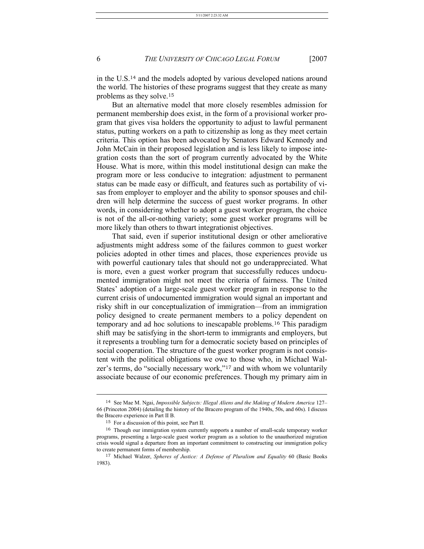in the U.S.14 and the models adopted by various developed nations around the world. The histories of these programs suggest that they create as many problems as they solve.<sup>15</sup>

But an alternative model that more closely resembles admission for permanent membership does exist, in the form of a provisional worker program that gives visa holders the opportunity to adjust to lawful permanent status, putting workers on a path to citizenship as long as they meet certain criteria. This option has been advocated by Senators Edward Kennedy and John McCain in their proposed legislation and is less likely to impose integration costs than the sort of program currently advocated by the White House. What is more, within this model institutional design can make the program more or less conducive to integration: adjustment to permanent status can be made easy or difficult, and features such as portability of visas from employer to employer and the ability to sponsor spouses and children will help determine the success of guest worker programs. In other words, in considering whether to adopt a guest worker program, the choice is not of the all-or-nothing variety; some guest worker programs will be more likely than others to thwart integrationist objectives.

That said, even if superior institutional design or other ameliorative adjustments might address some of the failures common to guest worker policies adopted in other times and places, those experiences provide us with powerful cautionary tales that should not go underappreciated. What is more, even a guest worker program that successfully reduces undocumented immigration might not meet the criteria of fairness. The United States' adoption of a large-scale guest worker program in response to the current crisis of undocumented immigration would signal an important and risky shift in our conceptualization of immigration—from an immigration policy designed to create permanent members to a policy dependent on temporary and ad hoc solutions to inescapable problems.16 This paradigm shift may be satisfying in the short-term to immigrants and employers, but it represents a troubling turn for a democratic society based on principles of social cooperation. The structure of the guest worker program is not consistent with the political obligations we owe to those who, in Michael Walzer's terms, do "socially necessary work,"17 and with whom we voluntarily associate because of our economic preferences. Though my primary aim in

 $\overline{a}$ 

<sup>&</sup>lt;sup>14</sup> See Mae M. Ngai, *Impossible Subjects: Illegal Aliens and the Making of Modern America* 127– 66 (Princeton 2004) (detailing the history of the Bracero program of the 1940s, 50s, and 60s). I discuss the Bracero experience in Part II B.

<sup>15</sup> For a discussion of this point, see Part II.

<sup>16</sup> Though our immigration system currently supports a number of small-scale temporary worker programs, presenting a large-scale guest worker program as a solution to the unauthorized migration crisis would signal a departure from an important commitment to constructing our immigration policy to create permanent forms of membership.

<sup>&</sup>lt;sup>17</sup> Michael Walzer, Spheres of Justice: A Defense of Pluralism and Equality 60 (Basic Books 1983).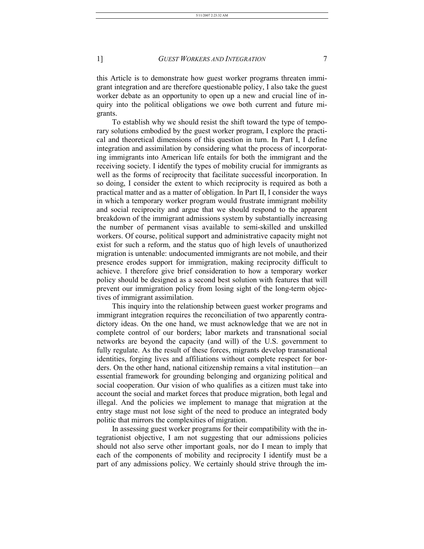this Article is to demonstrate how guest worker programs threaten immigrant integration and are therefore questionable policy, I also take the guest worker debate as an opportunity to open up a new and crucial line of inquiry into the political obligations we owe both current and future migrants.

To establish why we should resist the shift toward the type of temporary solutions embodied by the guest worker program, I explore the practical and theoretical dimensions of this question in turn. In Part I, I define integration and assimilation by considering what the process of incorporating immigrants into American life entails for both the immigrant and the receiving society. I identify the types of mobility crucial for immigrants as well as the forms of reciprocity that facilitate successful incorporation. In so doing, I consider the extent to which reciprocity is required as both a practical matter and as a matter of obligation. In Part II, I consider the ways in which a temporary worker program would frustrate immigrant mobility and social reciprocity and argue that we should respond to the apparent breakdown of the immigrant admissions system by substantially increasing the number of permanent visas available to semi-skilled and unskilled workers. Of course, political support and administrative capacity might not exist for such a reform, and the status quo of high levels of unauthorized migration is untenable: undocumented immigrants are not mobile, and their presence erodes support for immigration, making reciprocity difficult to achieve. I therefore give brief consideration to how a temporary worker policy should be designed as a second best solution with features that will prevent our immigration policy from losing sight of the long-term objectives of immigrant assimilation.

This inquiry into the relationship between guest worker programs and immigrant integration requires the reconciliation of two apparently contradictory ideas. On the one hand, we must acknowledge that we are not in complete control of our borders; labor markets and transnational social networks are beyond the capacity (and will) of the U.S. government to fully regulate. As the result of these forces, migrants develop transnational identities, forging lives and affiliations without complete respect for borders. On the other hand, national citizenship remains a vital institution—an essential framework for grounding belonging and organizing political and social cooperation. Our vision of who qualifies as a citizen must take into account the social and market forces that produce migration, both legal and illegal. And the policies we implement to manage that migration at the entry stage must not lose sight of the need to produce an integrated body politic that mirrors the complexities of migration.

In assessing guest worker programs for their compatibility with the integrationist objective, I am not suggesting that our admissions policies should not also serve other important goals, nor do I mean to imply that each of the components of mobility and reciprocity I identify must be a part of any admissions policy. We certainly should strive through the im-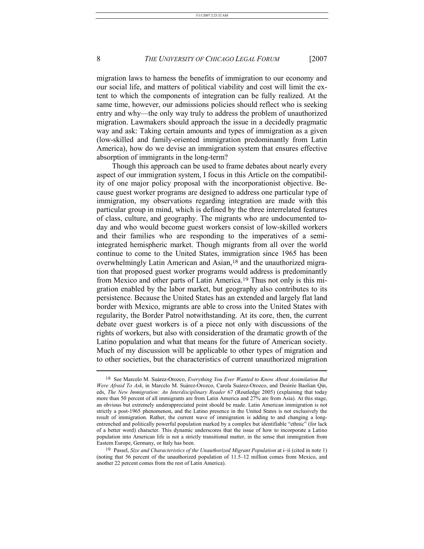migration laws to harness the benefits of immigration to our economy and our social life, and matters of political viability and cost will limit the extent to which the components of integration can be fully realized. At the same time, however, our admissions policies should reflect who is seeking entry and why—the only way truly to address the problem of unauthorized migration. Lawmakers should approach the issue in a decidedly pragmatic way and ask: Taking certain amounts and types of immigration as a given (low-skilled and family-oriented immigration predominantly from Latin America), how do we devise an immigration system that ensures effective absorption of immigrants in the long-term?

Though this approach can be used to frame debates about nearly every aspect of our immigration system, I focus in this Article on the compatibility of one major policy proposal with the incorporationist objective. Because guest worker programs are designed to address one particular type of immigration, my observations regarding integration are made with this particular group in mind, which is defined by the three interrelated features of class, culture, and geography. The migrants who are undocumented today and who would become guest workers consist of low-skilled workers and their families who are responding to the imperatives of a semiintegrated hemispheric market. Though migrants from all over the world continue to come to the United States, immigration since 1965 has been overwhelmingly Latin American and Asian,<sup>18</sup> and the unauthorized migration that proposed guest worker programs would address is predominantly from Mexico and other parts of Latin America.19 Thus not only is this migration enabled by the labor market, but geography also contributes to its persistence. Because the United States has an extended and largely flat land border with Mexico, migrants are able to cross into the United States with regularity, the Border Patrol notwithstanding. At its core, then, the current debate over guest workers is of a piece not only with discussions of the rights of workers, but also with consideration of the dramatic growth of the Latino population and what that means for the future of American society. Much of my discussion will be applicable to other types of migration and to other societies, but the characteristics of current unauthorized migration

<sup>&</sup>lt;sup>18</sup> See Marcelo M. Suárez-Orozco, Everything You Ever Wanted to Know About Assimilation But Were Afraid To Ask, in Marcelo M. Suárez-Orozco, Carola Suárez-Orozco, and Desirée Baolian Qin, eds, The New Immigration: An Interdisciplinary Reader 67 (Routledge 2005) (explaining that today more than 50 percent of all immigrants are from Latin America and 27% are from Asia). At this stage, an obvious but extremely underappreciated point should be made. Latin American immigration is not strictly a post-1965 phenomenon, and the Latino presence in the United States is not exclusively the result of immigration. Rather, the current wave of immigration is adding to and changing a longentrenched and politically powerful population marked by a complex but identifiable "ethnic" (for lack of a better word) character. This dynamic underscores that the issue of how to incorporate a Latino population into American life is not a strictly transitional matter, in the sense that immigration from Eastern Europe, Germany, or Italy has been.

<sup>19</sup> Passel, Size and Characteristics of the Unauthorized Migrant Population at  $i$ –ii (cited in note 1) (noting that 56 percent of the unauthorized population of 11.5–12 million comes from Mexico, and another 22 percent comes from the rest of Latin America).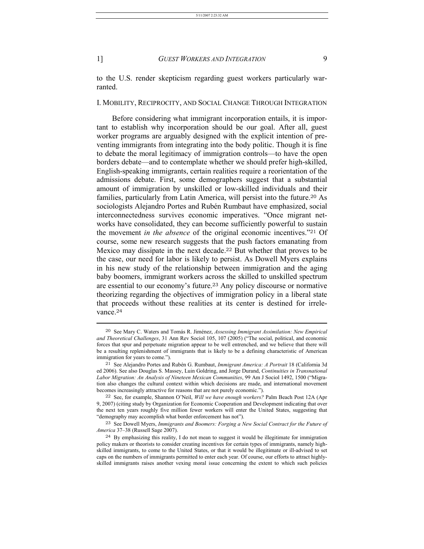to the U.S. render skepticism regarding guest workers particularly warranted.

I. MOBILITY, RECIPROCITY, AND SOCIAL CHANGE THROUGH INTEGRATION

Before considering what immigrant incorporation entails, it is important to establish why incorporation should be our goal. After all, guest worker programs are arguably designed with the explicit intention of preventing immigrants from integrating into the body politic. Though it is fine to debate the moral legitimacy of immigration controls—to have the open borders debate—and to contemplate whether we should prefer high-skilled, English-speaking immigrants, certain realities require a reorientation of the admissions debate. First, some demographers suggest that a substantial amount of immigration by unskilled or low-skilled individuals and their families, particularly from Latin America, will persist into the future.20 As sociologists Alejandro Portes and Rubén Rumbaut have emphasized, social interconnectedness survives economic imperatives. "Once migrant networks have consolidated, they can become sufficiently powerful to sustain the movement in the absence of the original economic incentives."21 Of course, some new research suggests that the push factors emanating from Mexico may dissipate in the next decade.22 But whether that proves to be the case, our need for labor is likely to persist. As Dowell Myers explains in his new study of the relationship between immigration and the aging baby boomers, immigrant workers across the skilled to unskilled spectrum are essential to our economy's future.23 Any policy discourse or normative theorizing regarding the objectives of immigration policy in a liberal state that proceeds without these realities at its center is destined for irrelevance.<sup>24</sup>

<sup>20</sup> See Mary C. Waters and Tomás R. Jiménez, Assessing Immigrant Assimilation: New Empirical and Theoretical Challenges, 31 Ann Rev Sociol 105, 107 (2005) ("The social, political, and economic forces that spur and perpetuate migration appear to be well entrenched, and we believe that there will be a resulting replenishment of immigrants that is likely to be a defining characteristic of American immigration for years to come.").

<sup>21</sup> See Alejandro Portes and Rubén G. Rumbaut, Immigrant America: A Portrait 18 (California 3d ed 2006). See also Douglas S. Massey, Luin Goldring, and Jorge Durand, Continuities in Transnational Labor Migration: An Analysis of Nineteen Mexican Communities, 99 Am J Sociol 1492, 1500 ("Migration also changes the cultural context within which decisions are made, and international movement becomes increasingly attractive for reasons that are not purely economic.").

<sup>&</sup>lt;sup>22</sup> See, for example, Shannon O'Neil, *Will we have enough workers?* Palm Beach Post 12A (Apr 9, 2007) (citing study by Organization for Economic Cooperation and Development indicating that over the next ten years roughly five million fewer workers will enter the United States, suggesting that "demography may accomplish what border enforcement has not").

<sup>23</sup> See Dowell Myers, Immigrants and Boomers: Forging a New Social Contract for the Future of America 37–38 (Russell Sage 2007).

<sup>24</sup> By emphasizing this reality, I do not mean to suggest it would be illegitimate for immigration policy makers or theorists to consider creating incentives for certain types of immigrants, namely highskilled immigrants, to come to the United States, or that it would be illegitimate or ill-advised to set caps on the numbers of immigrants permitted to enter each year. Of course, our efforts to attract highlyskilled immigrants raises another vexing moral issue concerning the extent to which such policies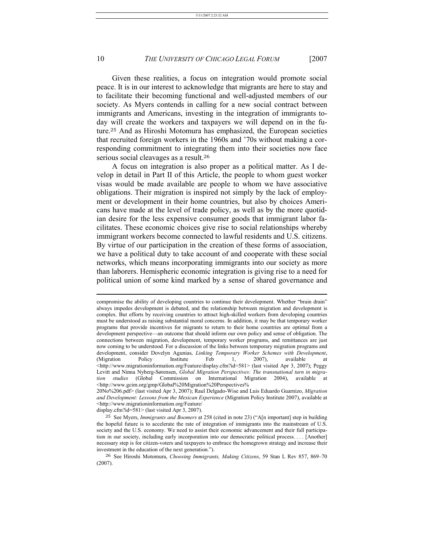Given these realities, a focus on integration would promote social peace. It is in our interest to acknowledge that migrants are here to stay and to facilitate their becoming functional and well-adjusted members of our society. As Myers contends in calling for a new social contract between immigrants and Americans, investing in the integration of immigrants today will create the workers and taxpayers we will depend on in the future.25 And as Hiroshi Motomura has emphasized, the European societies that recruited foreign workers in the 1960s and '70s without making a corresponding commitment to integrating them into their societies now face serious social cleavages as a result.<sup>26</sup>

A focus on integration is also proper as a political matter. As I develop in detail in Part II of this Article, the people to whom guest worker visas would be made available are people to whom we have associative obligations. Their migration is inspired not simply by the lack of employment or development in their home countries, but also by choices Americans have made at the level of trade policy, as well as by the more quotidian desire for the less expensive consumer goods that immigrant labor facilitates. These economic choices give rise to social relationships whereby immigrant workers become connected to lawful residents and U.S. citizens. By virtue of our participation in the creation of these forms of association, we have a political duty to take account of and cooperate with these social networks, which means incorporating immigrants into our society as more than laborers. Hemispheric economic integration is giving rise to a need for political union of some kind marked by a sense of shared governance and

display.cfm?id=581> (last visited Apr 3, 2007).

 $\overline{a}$ 

compromise the ability of developing countries to continue their development. Whether "brain drain" always impedes development is debated, and the relationship between migration and development is complex. But efforts by receiving countries to attract high-skilled workers from developing countries must be understood as raising substantial moral concerns. In addition, it may be that temporary worker programs that provide incentives for migrants to return to their home countries are optimal from a development perspective—an outcome that should inform our own policy and sense of obligation. The connections between migration, development, temporary worker programs, and remittances are just now coming to be understood. For a discussion of the links between temporary migration programs and development, consider Dovelyn Agunias, *Linking Temporary Worker Schemes with Development*, (Migration Policy Institute Feb 1, 2007), available at (Migration Policy Institute Feb 1, 2007), available at <http://www.migrationinformation.org/Feature/display.cfm?id=581> (last visited Apr 3, 2007); Peggy Levitt and Ninna Nyberg-Sørensen, Global Migration Perspectives: The transnational turn in migration studies (Global Commission on International Migration 2004), available <http://www.gcim.org/gmp/Global%20Migration%20Perspectives%

<sup>20</sup>No%206.pdf> (last visited Apr 3, 2007); Raul Delgado-Wise and Luis Eduardo Guarnizo, Migration and Development: Lessons from the Mexican Experience (Migration Policy Institute 2007), available at <http://www.migrationinformation.org/Feature/

<sup>25</sup> See Myers, Immigrants and Boomers at 258 (cited in note 23) ("A[n important] step in building the hopeful future is to accelerate the rate of integration of immigrants into the mainstream of U.S. society and the U.S. economy. We need to assist their economic advancement and their full participation in our society, including early incorporation into our democratic political process. . . . [Another] necessary step is for citizen-voters and taxpayers to embrace the homegrown strategy and increase their investment in the education of the next generation.").

<sup>26</sup> See Hiroshi Motomura, Choosing Immigrants, Making Citizens, 59 Stan L Rev 857, 869–70 (2007).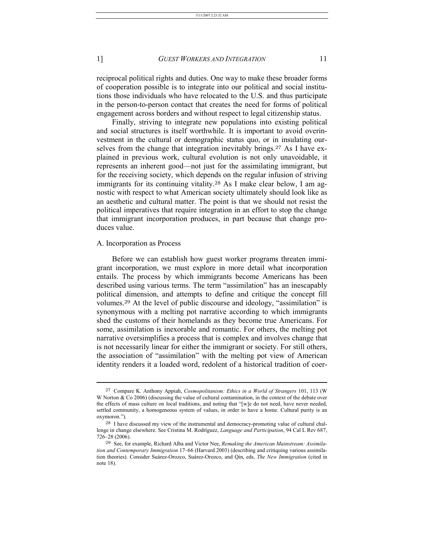reciprocal political rights and duties. One way to make these broader forms of cooperation possible is to integrate into our political and social institutions those individuals who have relocated to the U.S. and thus participate in the person-to-person contact that creates the need for forms of political engagement across borders and without respect to legal citizenship status.

Finally, striving to integrate new populations into existing political and social structures is itself worthwhile. It is important to avoid overinvestment in the cultural or demographic status quo, or in insulating ourselves from the change that integration inevitably brings.27 As I have explained in previous work, cultural evolution is not only unavoidable, it represents an inherent good—not just for the assimilating immigrant, but for the receiving society, which depends on the regular infusion of striving immigrants for its continuing vitality.28 As I make clear below, I am agnostic with respect to what American society ultimately should look like as an aesthetic and cultural matter. The point is that we should not resist the political imperatives that require integration in an effort to stop the change that immigrant incorporation produces, in part because that change produces value.

#### A. Incorporation as Process

Before we can establish how guest worker programs threaten immigrant incorporation, we must explore in more detail what incorporation entails. The process by which immigrants become Americans has been described using various terms. The term "assimilation" has an inescapably political dimension, and attempts to define and critique the concept fill volumes.29 At the level of public discourse and ideology, "assimilation" is synonymous with a melting pot narrative according to which immigrants shed the customs of their homelands as they become true Americans. For some, assimilation is inexorable and romantic. For others, the melting pot narrative oversimplifies a process that is complex and involves change that is not necessarily linear for either the immigrant or society. For still others, the association of "assimilation" with the melting pot view of American identity renders it a loaded word, redolent of a historical tradition of coer-

<sup>27</sup> Compare K. Anthony Appiah, Cosmopolitanism: Ethics in a World of Strangers 101, 113 (W W Norton & Co 2006) (discussing the value of cultural contamination, in the context of the debate over the effects of mass culture on local traditions, and noting that "[w]e do not need, have never needed, settled community, a homogeneous system of values, in order to have a home. Cultural purity is an oxymoron.").

<sup>28</sup> I have discussed my view of the instrumental and democracy-promoting value of cultural challenge in change elsewhere. See Cristina M. Rodríguez, Language and Participation, 94 Cal L Rev 687, 726–28 (2006).

<sup>&</sup>lt;sup>29</sup> See, for example, Richard Alba and Victor Nee, Remaking the American Mainstream: Assimilation and Contemporary Immigration 17–66 (Harvard 2003) (describing and critiquing various assimilation theories). Consider Suárez-Orozco, Suárez-Orozco, and Qin, eds, The New Immigration (cited in note 18).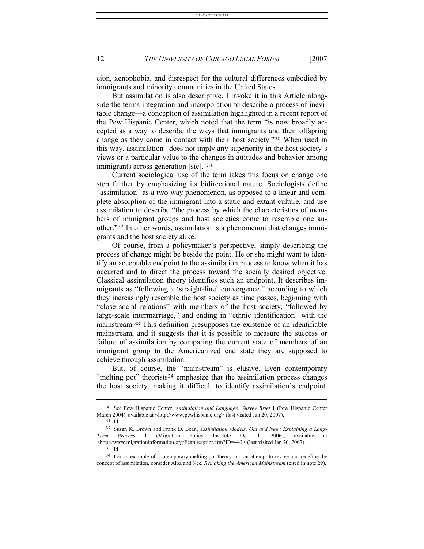cion, xenophobia, and disrespect for the cultural differences embodied by immigrants and minority communities in the United States.

But assimilation is also descriptive. I invoke it in this Article alongside the terms integration and incorporation to describe a process of inevitable change—a conception of assimilation highlighted in a recent report of the Pew Hispanic Center, which noted that the term "is now broadly accepted as a way to describe the ways that immigrants and their offspring change as they come in contact with their host society."30 When used in this way, assimilation "does not imply any superiority in the host society's views or a particular value to the changes in attitudes and behavior among immigrants across generation [sic]."<sup>31</sup>

Current sociological use of the term takes this focus on change one step further by emphasizing its bidirectional nature. Sociologists define "assimilation" as a two-way phenomenon, as opposed to a linear and complete absorption of the immigrant into a static and extant culture, and use assimilation to describe "the process by which the characteristics of members of immigrant groups and host societies come to resemble one another."32 In other words, assimilation is a phenomenon that changes immigrants and the host society alike.

Of course, from a policymaker's perspective, simply describing the process of change might be beside the point. He or she might want to identify an acceptable endpoint to the assimilation process to know when it has occurred and to direct the process toward the socially desired objective. Classical assimilation theory identifies such an endpoint. It describes immigrants as "following a 'straight-line' convergence," according to which they increasingly resemble the host society as time passes, beginning with "close social relations" with members of the host society, "followed by large-scale intermarriage," and ending in "ethnic identification" with the mainstream.33 This definition presupposes the existence of an identifiable mainstream, and it suggests that it is possible to measure the success or failure of assimilation by comparing the current state of members of an immigrant group to the Americanized end state they are supposed to achieve through assimilation.

But, of course, the "mainstream" is elusive. Even contemporary "melting pot" theorists<sup>34</sup> emphasize that the assimilation process changes the host society, making it difficult to identify assimilation's endpoint.

 $\overline{a}$ 

<sup>30</sup> See Pew Hispanic Center, Assimilation and Language: Survey Brief 1 (Pew Hispanic Center March 2004), available at <http://www.pewhispanic.org> (last visited Jan 20, 2007).

<sup>31</sup> Id.

<sup>32</sup> Susan K. Brown and Frank D. Bean, Assimilation Models, Old and New: Explaining a Long-Term Process 1 (Migration Policy Institute Oct 1, 2006), available at <http://www.migrationinformation.org/Feature/print.cfm?ID=442> (last visited Jan 20, 2007).

<sup>33</sup> Id.

<sup>34</sup> For an example of contemporary melting pot theory and an attempt to revive and redefine the concept of assimilation, consider Alba and Nee, Remaking the American Mainstream (cited in note 29).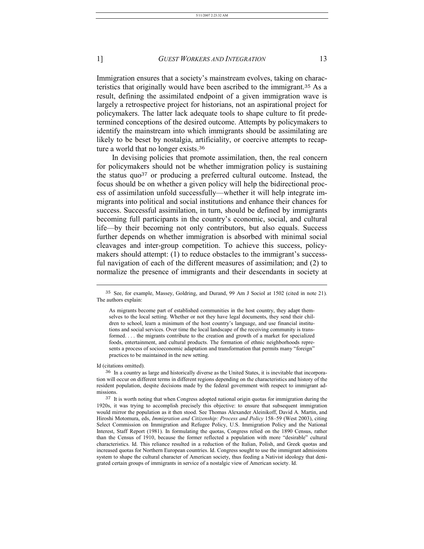Immigration ensures that a society's mainstream evolves, taking on characteristics that originally would have been ascribed to the immigrant.35 As a result, defining the assimilated endpoint of a given immigration wave is largely a retrospective project for historians, not an aspirational project for policymakers. The latter lack adequate tools to shape culture to fit predetermined conceptions of the desired outcome. Attempts by policymakers to identify the mainstream into which immigrants should be assimilating are likely to be beset by nostalgia, artificiality, or coercive attempts to recapture a world that no longer exists.<sup>36</sup>

In devising policies that promote assimilation, then, the real concern for policymakers should not be whether immigration policy is sustaining the status quo37 or producing a preferred cultural outcome. Instead, the focus should be on whether a given policy will help the bidirectional process of assimilation unfold successfully—whether it will help integrate immigrants into political and social institutions and enhance their chances for success. Successful assimilation, in turn, should be defined by immigrants becoming full participants in the country's economic, social, and cultural life—by their becoming not only contributors, but also equals. Success further depends on whether immigration is absorbed with minimal social cleavages and inter-group competition. To achieve this success, policymakers should attempt: (1) to reduce obstacles to the immigrant's successful navigation of each of the different measures of assimilation; and (2) to normalize the presence of immigrants and their descendants in society at

#### Id (citations omitted).

l

<sup>35</sup> See, for example, Massey, Goldring, and Durand, 99 Am J Sociol at 1502 (cited in note 21). The authors explain:

As migrants become part of established communities in the host country, they adapt themselves to the local setting. Whether or not they have legal documents, they send their children to school, learn a minimum of the host country's language, and use financial institutions and social services. Over time the local landscape of the receiving community is transformed. . . . the migrants contribute to the creation and growth of a market for specialized foods, entertainment, and cultural products. The formation of ethnic neighborhoods represents a process of socioeconomic adaptation and transformation that permits many "foreign" practices to be maintained in the new setting.

<sup>36</sup> In a country as large and historically diverse as the United States, it is inevitable that incorporation will occur on different terms in different regions depending on the characteristics and history of the resident population, despite decisions made by the federal government with respect to immigrant admissions.

<sup>&</sup>lt;sup>37</sup> It is worth noting that when Congress adopted national origin quotas for immigration during the 1920s, it was trying to accomplish precisely this objective: to ensure that subsequent immigration would mirror the population as it then stood. See Thomas Alexander Aleinikoff, David A. Martin, and Hiroshi Motomura, eds, Immigration and Citizenship: Process and Policy 158–59 (West 2003), citing Select Commission on Immigration and Refugee Policy, U.S. Immigration Policy and the National Interest, Staff Report (1981). In formulating the quotas, Congress relied on the 1890 Census, rather than the Census of 1910, because the former reflected a population with more "desirable" cultural characteristics. Id. This reliance resulted in a reduction of the Italian, Polish, and Greek quotas and increased quotas for Northern European countries. Id. Congress sought to use the immigrant admissions system to shape the cultural character of American society, thus feeding a Nativist ideology that denigrated certain groups of immigrants in service of a nostalgic view of American society. Id.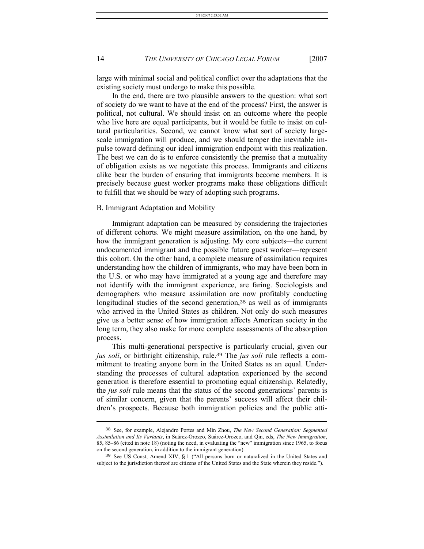large with minimal social and political conflict over the adaptations that the existing society must undergo to make this possible.

In the end, there are two plausible answers to the question: what sort of society do we want to have at the end of the process? First, the answer is political, not cultural. We should insist on an outcome where the people who live here are equal participants, but it would be futile to insist on cultural particularities. Second, we cannot know what sort of society largescale immigration will produce, and we should temper the inevitable impulse toward defining our ideal immigration endpoint with this realization. The best we can do is to enforce consistently the premise that a mutuality of obligation exists as we negotiate this process. Immigrants and citizens alike bear the burden of ensuring that immigrants become members. It is precisely because guest worker programs make these obligations difficult to fulfill that we should be wary of adopting such programs.

#### B. Immigrant Adaptation and Mobility

Immigrant adaptation can be measured by considering the trajectories of different cohorts. We might measure assimilation, on the one hand, by how the immigrant generation is adjusting. My core subjects—the current undocumented immigrant and the possible future guest worker—represent this cohort. On the other hand, a complete measure of assimilation requires understanding how the children of immigrants, who may have been born in the U.S. or who may have immigrated at a young age and therefore may not identify with the immigrant experience, are faring. Sociologists and demographers who measure assimilation are now profitably conducting longitudinal studies of the second generation,<sup>38</sup> as well as of immigrants who arrived in the United States as children. Not only do such measures give us a better sense of how immigration affects American society in the long term, they also make for more complete assessments of the absorption process.

This multi-generational perspective is particularly crucial, given our jus soli, or birthright citizenship, rule.<sup>39</sup> The *jus soli* rule reflects a commitment to treating anyone born in the United States as an equal. Understanding the processes of cultural adaptation experienced by the second generation is therefore essential to promoting equal citizenship. Relatedly, the jus soli rule means that the status of the second generations' parents is of similar concern, given that the parents' success will affect their children's prospects. Because both immigration policies and the public atti-

<sup>38</sup> See, for example, Alejandro Portes and Min Zhou, The New Second Generation: Segmented Assimilation and Its Variants, in Suárez-Orozco, Suárez-Orozco, and Qin, eds, The New Immigration, 85, 85–86 (cited in note 18) (noting the need, in evaluating the "new" immigration since 1965, to focus on the second generation, in addition to the immigrant generation).

<sup>39</sup> See US Const, Amend XIV, § 1 ("All persons born or naturalized in the United States and subject to the jurisdiction thereof are citizens of the United States and the State wherein they reside.").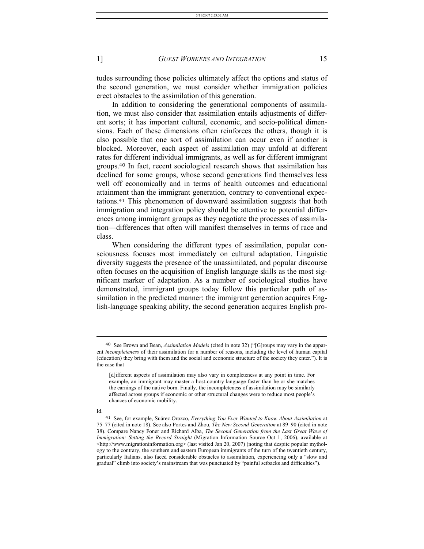tudes surrounding those policies ultimately affect the options and status of the second generation, we must consider whether immigration policies erect obstacles to the assimilation of this generation.

In addition to considering the generational components of assimilation, we must also consider that assimilation entails adjustments of different sorts; it has important cultural, economic, and socio-political dimensions. Each of these dimensions often reinforces the others, though it is also possible that one sort of assimilation can occur even if another is blocked. Moreover, each aspect of assimilation may unfold at different rates for different individual immigrants, as well as for different immigrant groups.40 In fact, recent sociological research shows that assimilation has declined for some groups, whose second generations find themselves less well off economically and in terms of health outcomes and educational attainment than the immigrant generation, contrary to conventional expectations.41 This phenomenon of downward assimilation suggests that both immigration and integration policy should be attentive to potential differences among immigrant groups as they negotiate the processes of assimilation—differences that often will manifest themselves in terms of race and class.

When considering the different types of assimilation, popular consciousness focuses most immediately on cultural adaptation. Linguistic diversity suggests the presence of the unassimilated, and popular discourse often focuses on the acquisition of English language skills as the most significant marker of adaptation. As a number of sociological studies have demonstrated, immigrant groups today follow this particular path of assimilation in the predicted manner: the immigrant generation acquires English-language speaking ability, the second generation acquires English pro-

Id.

 $\overline{a}$ 

<sup>40</sup> See Brown and Bean, Assimilation Models (cited in note 32) ("[G]roups may vary in the apparent incompleteness of their assimilation for a number of reasons, including the level of human capital (education) they bring with them and the social and economic structure of the society they enter."). It is the case that

<sup>[</sup>d]ifferent aspects of assimilation may also vary in completeness at any point in time. For example, an immigrant may master a host-country language faster than he or she matches the earnings of the native born. Finally, the incompleteness of assimilation may be similarly affected across groups if economic or other structural changes were to reduce most people's chances of economic mobility.

<sup>41</sup> See, for example, Suárez-Orozco, Everything You Ever Wanted to Know About Assimilation at 75–77 (cited in note 18). See also Portes and Zhou, The New Second Generation at 89–90 (cited in note 38). Compare Nancy Foner and Richard Alba, The Second Generation from the Last Great Wave of Immigration: Setting the Record Straight (Migration Information Source Oct 1, 2006), available at  $\lt$ http://www.migrationinformation.org> (last visited Jan 20, 2007) (noting that despite popular mythology to the contrary, the southern and eastern European immigrants of the turn of the twentieth century, particularly Italians, also faced considerable obstacles to assimilation, experiencing only a "slow and gradual" climb into society's mainstream that was punctuated by "painful setbacks and difficulties").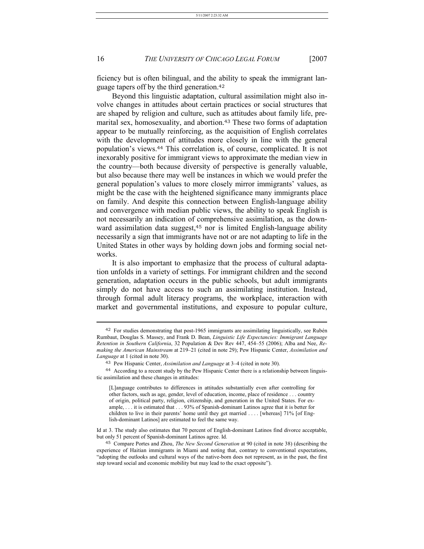ficiency but is often bilingual, and the ability to speak the immigrant language tapers off by the third generation.<sup>42</sup>

Beyond this linguistic adaptation, cultural assimilation might also involve changes in attitudes about certain practices or social structures that are shaped by religion and culture, such as attitudes about family life, premarital sex, homosexuality, and abortion.43 These two forms of adaptation appear to be mutually reinforcing, as the acquisition of English correlates with the development of attitudes more closely in line with the general population's views.44 This correlation is, of course, complicated. It is not inexorably positive for immigrant views to approximate the median view in the country—both because diversity of perspective is generally valuable, but also because there may well be instances in which we would prefer the general population's values to more closely mirror immigrants' values, as might be the case with the heightened significance many immigrants place on family. And despite this connection between English-language ability and convergence with median public views, the ability to speak English is not necessarily an indication of comprehensive assimilation, as the downward assimilation data suggest,<sup>45</sup> nor is limited English-language ability necessarily a sign that immigrants have not or are not adapting to life in the United States in other ways by holding down jobs and forming social networks.

It is also important to emphasize that the process of cultural adaptation unfolds in a variety of settings. For immigrant children and the second generation, adaptation occurs in the public schools, but adult immigrants simply do not have access to such an assimilating institution. Instead, through formal adult literacy programs, the workplace, interaction with market and governmental institutions, and exposure to popular culture,

<sup>42</sup> For studies demonstrating that post-1965 immigrants are assimilating linguistically, see Rubén Rumbaut, Douglas S. Massey, and Frank D. Bean, Linguistic Life Expectancies: Immigrant Language Retention in Southern California, 32 Population & Dev Rev 447, 454–55 (2006); Alba and Nee, Remaking the American Mainstream at 219–21 (cited in note 29); Pew Hispanic Center, Assimilation and Language at 1 (cited in note 30).

<sup>43</sup> Pew Hispanic Center, Assimilation and Language at 3-4 (cited in note 30).

<sup>44</sup> According to a recent study by the Pew Hispanic Center there is a relationship between linguistic assimilation and these changes in attitudes:

<sup>[</sup>L]anguage contributes to differences in attitudes substantially even after controlling for other factors, such as age, gender, level of education, income, place of residence . . . country of origin, political party, religion, citizenship, and generation in the United States. For example, . . . it is estimated that . . . 93% of Spanish-dominant Latinos agree that it is better for children to live in their parents' home until they get married . . . . [whereas] 71% [of English-dominant Latinos] are estimated to feel the same way.

Id at 3. The study also estimates that 70 percent of English-dominant Latinos find divorce acceptable, but only 51 percent of Spanish-dominant Latinos agree. Id.

<sup>45</sup> Compare Portes and Zhou, The New Second Generation at 90 (cited in note 38) (describing the experience of Haitian immigrants in Miami and noting that, contrary to conventional expectations, "adopting the outlooks and cultural ways of the native-born does not represent, as in the past, the first step toward social and economic mobility but may lead to the exact opposite").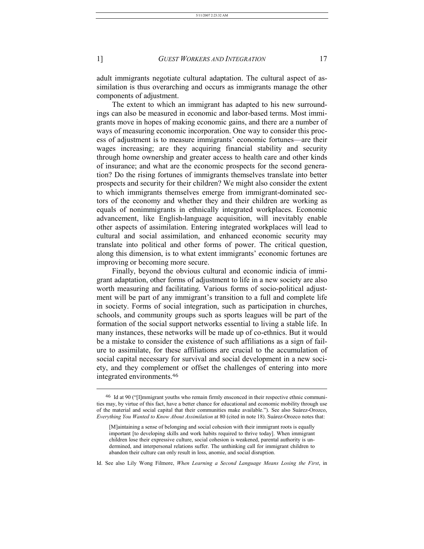adult immigrants negotiate cultural adaptation. The cultural aspect of assimilation is thus overarching and occurs as immigrants manage the other components of adjustment.

The extent to which an immigrant has adapted to his new surroundings can also be measured in economic and labor-based terms. Most immigrants move in hopes of making economic gains, and there are a number of ways of measuring economic incorporation. One way to consider this process of adjustment is to measure immigrants' economic fortunes—are their wages increasing; are they acquiring financial stability and security through home ownership and greater access to health care and other kinds of insurance; and what are the economic prospects for the second generation? Do the rising fortunes of immigrants themselves translate into better prospects and security for their children? We might also consider the extent to which immigrants themselves emerge from immigrant-dominated sectors of the economy and whether they and their children are working as equals of nonimmigrants in ethnically integrated workplaces. Economic advancement, like English-language acquisition, will inevitably enable other aspects of assimilation. Entering integrated workplaces will lead to cultural and social assimilation, and enhanced economic security may translate into political and other forms of power. The critical question, along this dimension, is to what extent immigrants' economic fortunes are improving or becoming more secure.

Finally, beyond the obvious cultural and economic indicia of immigrant adaptation, other forms of adjustment to life in a new society are also worth measuring and facilitating. Various forms of socio-political adjustment will be part of any immigrant's transition to a full and complete life in society. Forms of social integration, such as participation in churches, schools, and community groups such as sports leagues will be part of the formation of the social support networks essential to living a stable life. In many instances, these networks will be made up of co-ethnics. But it would be a mistake to consider the existence of such affiliations as a sign of failure to assimilate, for these affiliations are crucial to the accumulation of social capital necessary for survival and social development in a new society, and they complement or offset the challenges of entering into more integrated environments.<sup>46</sup>

 $\overline{a}$ 

<sup>46</sup> Id at 90 ("[I]mmigrant youths who remain firmly ensconced in their respective ethnic communities may, by virtue of this fact, have a better chance for educational and economic mobility through use of the material and social capital that their communities make available."). See also Suárez-Orozco, Everything You Wanted to Know About Assimilation at 80 (cited in note 18). Suárez-Orozco notes that:

<sup>[</sup>M]aintaining a sense of belonging and social cohesion with their immigrant roots is equally important [to developing skills and work habits required to thrive today]. When immigrant children lose their expressive culture, social cohesion is weakened, parental authority is undermined, and interpersonal relations suffer. The unthinking call for immigrant children to abandon their culture can only result in loss, anomie, and social disruption.

Id. See also Lily Wong Filmore, When Learning a Second Language Means Losing the First, in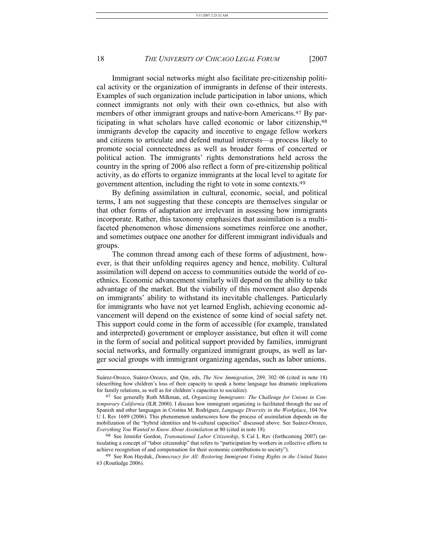Immigrant social networks might also facilitate pre-citizenship political activity or the organization of immigrants in defense of their interests. Examples of such organization include participation in labor unions, which connect immigrants not only with their own co-ethnics, but also with members of other immigrant groups and native-born Americans.<sup>47</sup> By participating in what scholars have called economic or labor citizenship,<sup>48</sup> immigrants develop the capacity and incentive to engage fellow workers and citizens to articulate and defend mutual interests—a process likely to promote social connectedness as well as broader forms of concerted or political action. The immigrants' rights demonstrations held across the country in the spring of 2006 also reflect a form of pre-citizenship political activity, as do efforts to organize immigrants at the local level to agitate for government attention, including the right to vote in some contexts.<sup>49</sup>

By defining assimilation in cultural, economic, social, and political terms, I am not suggesting that these concepts are themselves singular or that other forms of adaptation are irrelevant in assessing how immigrants incorporate. Rather, this taxonomy emphasizes that assimilation is a multifaceted phenomenon whose dimensions sometimes reinforce one another, and sometimes outpace one another for different immigrant individuals and groups.

The common thread among each of these forms of adjustment, however, is that their unfolding requires agency and hence, mobility. Cultural assimilation will depend on access to communities outside the world of coethnics. Economic advancement similarly will depend on the ability to take advantage of the market. But the viability of this movement also depends on immigrants' ability to withstand its inevitable challenges. Particularly for immigrants who have not yet learned English, achieving economic advancement will depend on the existence of some kind of social safety net. This support could come in the form of accessible (for example, translated and interpreted) government or employer assistance, but often it will come in the form of social and political support provided by families, immigrant social networks, and formally organized immigrant groups, as well as larger social groups with immigrant organizing agendas, such as labor unions.  $\overline{a}$ 

Suárez-Orozco, Suárez-Orozco, and Qin, eds, The New Immigration, 289, 302–06 (cited in note 18) (describing how children's loss of their capacity to speak a home language has dramatic implications for family relations, as well as for children's capacities to socialize).

<sup>&</sup>lt;sup>47</sup> See generally Ruth Milkman, ed, Organizing Immigrants: The Challenge for Unions in Contemporary California (ILR 2000). I discuss how immigrant organizing is facilitated through the use of Spanish and other languages in Cristina M. Rodríguez, Language Diversity in the Workplace, 104 Nw U L Rev 1689 (2006). This phenomenon underscores how the process of assimilation depends on the mobilization of the "hybrid identities and bi-cultural capacities" discussed above. See Suárez-Orozco, Everything You Wanted to Know About Assimilation at 80 (cited in note 18).

<sup>48</sup> See Jennifer Gordon, *Transnational Labor Citizenship*, S Cal L Rev (forthcoming 2007) (articulating a concept of "labor citizenship" that refers to "participation by workers in collective efforts to achieve recognition of and compensation for their economic contributions to society").

<sup>49</sup> See Ron Hayduk, Democracy for All: Restoring Immigrant Voting Rights in the United States 63 (Routledge 2006).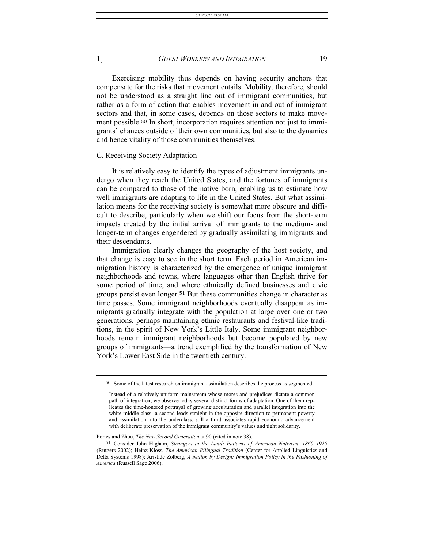Exercising mobility thus depends on having security anchors that compensate for the risks that movement entails. Mobility, therefore, should not be understood as a straight line out of immigrant communities, but rather as a form of action that enables movement in and out of immigrant sectors and that, in some cases, depends on those sectors to make movement possible.50 In short, incorporation requires attention not just to immigrants' chances outside of their own communities, but also to the dynamics and hence vitality of those communities themselves.

#### C. Receiving Society Adaptation

It is relatively easy to identify the types of adjustment immigrants undergo when they reach the United States, and the fortunes of immigrants can be compared to those of the native born, enabling us to estimate how well immigrants are adapting to life in the United States. But what assimilation means for the receiving society is somewhat more obscure and difficult to describe, particularly when we shift our focus from the short-term impacts created by the initial arrival of immigrants to the medium- and longer-term changes engendered by gradually assimilating immigrants and their descendants.

Immigration clearly changes the geography of the host society, and that change is easy to see in the short term. Each period in American immigration history is characterized by the emergence of unique immigrant neighborhoods and towns, where languages other than English thrive for some period of time, and where ethnically defined businesses and civic groups persist even longer.51 But these communities change in character as time passes. Some immigrant neighborhoods eventually disappear as immigrants gradually integrate with the population at large over one or two generations, perhaps maintaining ethnic restaurants and festival-like traditions, in the spirit of New York's Little Italy. Some immigrant neighborhoods remain immigrant neighborhoods but become populated by new groups of immigrants—a trend exemplified by the transformation of New York's Lower East Side in the twentieth century.

<sup>50</sup> Some of the latest research on immigrant assimilation describes the process as segmented:

Instead of a relatively uniform mainstream whose mores and prejudices dictate a common path of integration, we observe today several distinct forms of adaptation. One of them replicates the time-honored portrayal of growing acculturation and parallel integration into the white middle-class; a second leads straight in the opposite direction to permanent poverty and assimilation into the underclass; still a third associates rapid economic advancement with deliberate preservation of the immigrant community's values and tight solidarity.

Portes and Zhou, The New Second Generation at 90 (cited in note 38).

<sup>51</sup> Consider John Higham, Strangers in the Land: Patterns of American Nativism, 1860–1925 (Rutgers 2002); Heinz Kloss, The American Bilingual Tradition (Center for Applied Linguistics and Delta Systems 1998); Aristide Zolberg, A Nation by Design: Immigration Policy in the Fashioning of America (Russell Sage 2006).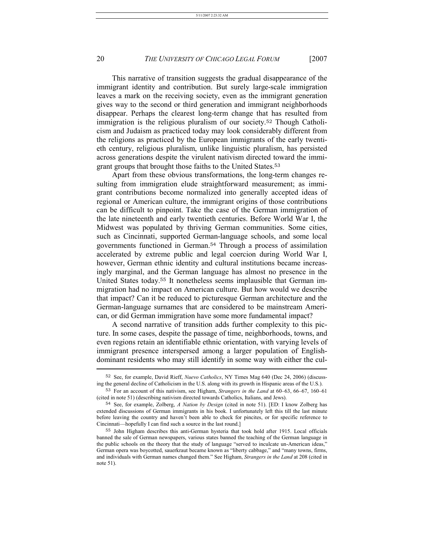This narrative of transition suggests the gradual disappearance of the immigrant identity and contribution. But surely large-scale immigration leaves a mark on the receiving society, even as the immigrant generation gives way to the second or third generation and immigrant neighborhoods disappear. Perhaps the clearest long-term change that has resulted from immigration is the religious pluralism of our society.52 Though Catholicism and Judaism as practiced today may look considerably different from the religions as practiced by the European immigrants of the early twentieth century, religious pluralism, unlike linguistic pluralism, has persisted across generations despite the virulent nativism directed toward the immigrant groups that brought those faiths to the United States.<sup>53</sup>

Apart from these obvious transformations, the long-term changes resulting from immigration elude straightforward measurement; as immigrant contributions become normalized into generally accepted ideas of regional or American culture, the immigrant origins of those contributions can be difficult to pinpoint. Take the case of the German immigration of the late nineteenth and early twentieth centuries. Before World War I, the Midwest was populated by thriving German communities. Some cities, such as Cincinnati, supported German-language schools, and some local governments functioned in German.54 Through a process of assimilation accelerated by extreme public and legal coercion during World War I, however, German ethnic identity and cultural institutions became increasingly marginal, and the German language has almost no presence in the United States today.55 It nonetheless seems implausible that German immigration had no impact on American culture. But how would we describe that impact? Can it be reduced to picturesque German architecture and the German-language surnames that are considered to be mainstream American, or did German immigration have some more fundamental impact?

A second narrative of transition adds further complexity to this picture. In some cases, despite the passage of time, neighborhoods, towns, and even regions retain an identifiable ethnic orientation, with varying levels of immigrant presence interspersed among a larger population of Englishdominant residents who may still identify in some way with either the cul-  $\overline{a}$ 

<sup>52</sup> See, for example, David Rieff, Nuevo Catholics, NY Times Mag 640 (Dec 24, 2006) (discussing the general decline of Catholicism in the U.S. along with its growth in Hispanic areas of the U.S.).

<sup>53</sup> For an account of this nativism, see Higham, Strangers in the Land at 60–63, 66–67, 160–61 (cited in note 51) (describing nativism directed towards Catholics, Italians, and Jews).

<sup>54</sup> See, for example, Zolberg, A Nation by Design (cited in note 51). [ED: I know Zolberg has extended discussions of German immigrants in his book. I unfortunately left this till the last minute before leaving the country and haven't been able to check for pincites, or for specific reference to Cincinnati—hopefully I can find such a source in the last round.]

<sup>55</sup> John Higham describes this anti-German hysteria that took hold after 1915. Local officials banned the sale of German newspapers, various states banned the teaching of the German language in the public schools on the theory that the study of language "served to inculcate un-American ideas," German opera was boycotted, sauerkraut became known as "liberty cabbage," and "many towns, firms, and individuals with German names changed them." See Higham, Strangers in the Land at 208 (cited in note 51).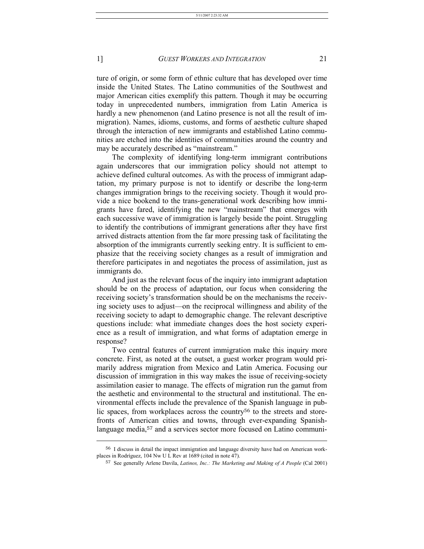ture of origin, or some form of ethnic culture that has developed over time inside the United States. The Latino communities of the Southwest and major American cities exemplify this pattern. Though it may be occurring today in unprecedented numbers, immigration from Latin America is hardly a new phenomenon (and Latino presence is not all the result of immigration). Names, idioms, customs, and forms of aesthetic culture shaped through the interaction of new immigrants and established Latino communities are etched into the identities of communities around the country and may be accurately described as "mainstream."

The complexity of identifying long-term immigrant contributions again underscores that our immigration policy should not attempt to achieve defined cultural outcomes. As with the process of immigrant adaptation, my primary purpose is not to identify or describe the long-term changes immigration brings to the receiving society. Though it would provide a nice bookend to the trans-generational work describing how immigrants have fared, identifying the new "mainstream" that emerges with each successive wave of immigration is largely beside the point. Struggling to identify the contributions of immigrant generations after they have first arrived distracts attention from the far more pressing task of facilitating the absorption of the immigrants currently seeking entry. It is sufficient to emphasize that the receiving society changes as a result of immigration and therefore participates in and negotiates the process of assimilation, just as immigrants do.

And just as the relevant focus of the inquiry into immigrant adaptation should be on the process of adaptation, our focus when considering the receiving society's transformation should be on the mechanisms the receiving society uses to adjust—on the reciprocal willingness and ability of the receiving society to adapt to demographic change. The relevant descriptive questions include: what immediate changes does the host society experience as a result of immigration, and what forms of adaptation emerge in response?

Two central features of current immigration make this inquiry more concrete. First, as noted at the outset, a guest worker program would primarily address migration from Mexico and Latin America. Focusing our discussion of immigration in this way makes the issue of receiving-society assimilation easier to manage. The effects of migration run the gamut from the aesthetic and environmental to the structural and institutional. The environmental effects include the prevalence of the Spanish language in public spaces, from workplaces across the country<sup>56</sup> to the streets and storefronts of American cities and towns, through ever-expanding Spanishlanguage media,57 and a services sector more focused on Latino communi-

 $\overline{a}$ 

<sup>56</sup> I discuss in detail the impact immigration and language diversity have had on American workplaces in Rodríguez, 104 Nw U L Rev at 1689 (cited in note 47).

<sup>57</sup> See generally Arlene Davila, Latinos, Inc.: The Marketing and Making of A People (Cal 2001)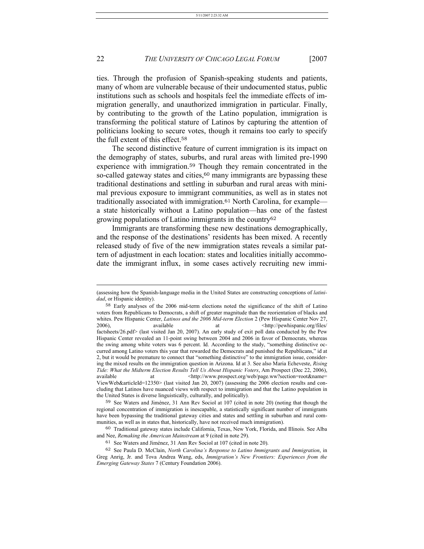ties. Through the profusion of Spanish-speaking students and patients, many of whom are vulnerable because of their undocumented status, public institutions such as schools and hospitals feel the immediate effects of immigration generally, and unauthorized immigration in particular. Finally, by contributing to the growth of the Latino population, immigration is transforming the political stature of Latinos by capturing the attention of politicians looking to secure votes, though it remains too early to specify the full extent of this effect.<sup>58</sup>

The second distinctive feature of current immigration is its impact on the demography of states, suburbs, and rural areas with limited pre-1990 experience with immigration.59 Though they remain concentrated in the so-called gateway states and cities,<sup>60</sup> many immigrants are bypassing these traditional destinations and settling in suburban and rural areas with minimal previous exposure to immigrant communities, as well as in states not traditionally associated with immigration.61 North Carolina, for example a state historically without a Latino population—has one of the fastest growing populations of Latino immigrants in the country<sup>62</sup>

Immigrants are transforming these new destinations demographically, and the response of the destinations' residents has been mixed. A recently released study of five of the new immigration states reveals a similar pattern of adjustment in each location: states and localities initially accommodate the immigrant influx, in some cases actively recruiting new immi-

<sup>(</sup>assessing how the Spanish-language media in the United States are constructing conceptions of latinidad, or Hispanic identity).

<sup>58</sup> Early analyses of the 2006 mid-term elections noted the significance of the shift of Latino voters from Republicans to Democrats, a shift of greater magnitude than the reorientation of blacks and whites. Pew Hispanic Center, Latinos and the 2006 Mid-term Election 2 (Pew Hispanic Center Nov 27, 2006), available at  $\frac{\text{extry}}{\text{cm}}$  //pewhispanic.org/files/ factsheets/26.pdf> (last visited Jan 20, 2007). An early study of exit poll data conducted by the Pew Hispanic Center revealed an 11-point swing between 2004 and 2006 in favor of Democrats, whereas the swing among white voters was 6 percent. Id. According to the study, "something distinctive occurred among Latino voters this year that rewarded the Democrats and punished the Republicans," id at 2, but it would be premature to connect that "something distinctive" to the immigration issue, considering the mixed results on the immigration question in Arizona. Id at 3. See also Maria Echeveste, Rising Tide: What the Midterm Election Results Tell Us About Hispanic Voters, Am Prospect (Dec 22, 2006), available at <http://www.prospect.org/web/page.ww?section=root&name= ViewWeb&articleId=12350> (last visited Jan 20, 2007) (assessing the 2006 election results and concluding that Latinos have nuanced views with respect to immigration and that the Latino population in the United States is diverse linguistically, culturally, and politically).

<sup>59</sup> See Waters and Jiménez, 31 Ann Rev Sociol at 107 (cited in note 20) (noting that though the regional concentration of immigration is inescapable, a statistically significant number of immigrants have been bypassing the traditional gateway cities and states and settling in suburban and rural communities, as well as in states that, historically, have not received much immigration).

<sup>60</sup> Traditional gateway states include California, Texas, New York, Florida, and Illinois. See Alba and Nee, Remaking the American Mainstream at 9 (cited in note 29).

<sup>61</sup> See Waters and Jiménez, 31 Ann Rev Sociol at 107 (cited in note 20).

<sup>62</sup> See Paula D. McClain, North Carolina's Response to Latino Immigrants and Immigration, in Greg Anrig, Jr. and Tova Andrea Wang, eds, Immigration's New Frontiers: Experiences from the Emerging Gateway States 7 (Century Foundation 2006).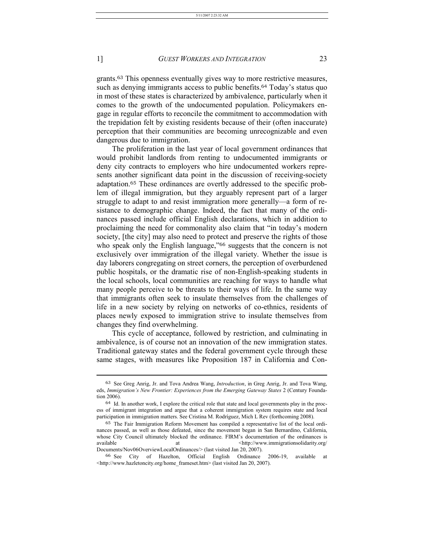grants.63 This openness eventually gives way to more restrictive measures, such as denying immigrants access to public benefits.<sup>64</sup> Today's status quo in most of these states is characterized by ambivalence, particularly when it comes to the growth of the undocumented population. Policymakers engage in regular efforts to reconcile the commitment to accommodation with the trepidation felt by existing residents because of their (often inaccurate) perception that their communities are becoming unrecognizable and even dangerous due to immigration.

The proliferation in the last year of local government ordinances that would prohibit landlords from renting to undocumented immigrants or deny city contracts to employers who hire undocumented workers represents another significant data point in the discussion of receiving-society adaptation.65 These ordinances are overtly addressed to the specific problem of illegal immigration, but they arguably represent part of a larger struggle to adapt to and resist immigration more generally—a form of resistance to demographic change. Indeed, the fact that many of the ordinances passed include official English declarations, which in addition to proclaiming the need for commonality also claim that "in today's modern society, [the city] may also need to protect and preserve the rights of those who speak only the English language, <sup>66</sup> suggests that the concern is not exclusively over immigration of the illegal variety. Whether the issue is day laborers congregating on street corners, the perception of overburdened public hospitals, or the dramatic rise of non-English-speaking students in the local schools, local communities are reaching for ways to handle what many people perceive to be threats to their ways of life. In the same way that immigrants often seek to insulate themselves from the challenges of life in a new society by relying on networks of co-ethnics, residents of places newly exposed to immigration strive to insulate themselves from changes they find overwhelming.

This cycle of acceptance, followed by restriction, and culminating in ambivalence, is of course not an innovation of the new immigration states. Traditional gateway states and the federal government cycle through these same stages, with measures like Proposition 187 in California and Con-

<sup>63</sup> See Greg Anrig, Jr. and Tova Andrea Wang, Introduction, in Greg Anrig, Jr. and Tova Wang, eds, Immigration's New Frontier: Experiences from the Emerging Gateway States 2 (Century Foundation 2006).

<sup>64</sup> Id. In another work, I explore the critical role that state and local governments play in the process of immigrant integration and argue that a coherent immigration system requires state and local participation in immigration matters. See Cristina M. Rodríguez, Mich L Rev (forthcoming 2008).

<sup>65</sup> The Fair Immigration Reform Movement has compiled a representative list of the local ordinances passed, as well as those defeated, since the movement began in San Bernardino, California, whose City Council ultimately blocked the ordinance. FIRM's documentation of the ordinances is available at the at  $\frac{1}{\text{at}}$  at  $\frac{1}{\text{at}}$  at  $\frac{1}{\text{at}}$  at  $\frac{1}{\text{at}}$  at  $\frac{1}{\text{at}}$  at  $\frac{1}{\text{at}}$  at  $\frac{1}{\text{at}}$  at  $\frac{1}{\text{at}}$  at  $\frac{1}{\text{at}}$  at  $\frac{1}{\text{at}}$  at  $\frac{1}{\text{at}}$  at  $\frac{1}{\text{at}}$  at  $\frac{1}{\text{at$ Documents/Nov06OverviewLocalOrdinances/> (last visited Jan 20, 2007).

<sup>66</sup> See City of Hazelton, Official English Ordinance 2006-19, available at <http://www.hazletoncity.org/home\_frameset.htm> (last visited Jan 20, 2007).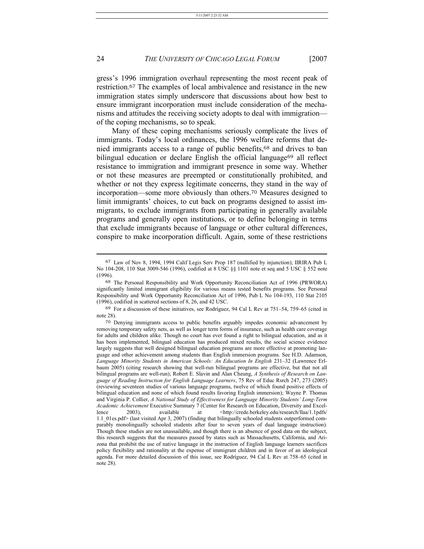gress's 1996 immigration overhaul representing the most recent peak of restriction.67 The examples of local ambivalence and resistance in the new immigration states simply underscore that discussions about how best to ensure immigrant incorporation must include consideration of the mechanisms and attitudes the receiving society adopts to deal with immigration of the coping mechanisms, so to speak.

Many of these coping mechanisms seriously complicate the lives of immigrants. Today's local ordinances, the 1996 welfare reforms that denied immigrants access to a range of public benefits,68 and drives to ban bilingual education or declare English the official language<sup>69</sup> all reflect resistance to immigration and immigrant presence in some way. Whether or not these measures are preempted or constitutionally prohibited, and whether or not they express legitimate concerns, they stand in the way of incorporation—some more obviously than others.70 Measures designed to limit immigrants' choices, to cut back on programs designed to assist immigrants, to exclude immigrants from participating in generally available programs and generally open institutions, or to define belonging in terms that exclude immigrants because of language or other cultural differences, conspire to make incorporation difficult. Again, some of these restrictions

<sup>67</sup> Law of Nov 8, 1994, 1994 Calif Legis Serv Prop 187 (nullified by injunction); IIRIRA Pub L No 104-208, 110 Stat 3009-546 (1996), codified at 8 USC §§ 1101 note et seq and 5 USC § 552 note (1996).

<sup>68</sup> The Personal Responsibility and Work Opportunity Reconciliation Act of 1996 (PRWORA) significantly limited immigrant eligibility for various means tested benefits programs. See Personal Responsibility and Work Opportunity Reconciliation Act of 1996, Pub L No 104-193, 110 Stat 2105 (1996), codified in scattered sections of 8, 26, and 42 USC.

<sup>69</sup> For a discussion of these initiatives, see Rodríguez, 94 Cal L Rev at 751–54, 759–65 (cited in note 28).

<sup>70</sup> Denying immigrants access to public benefits arguably impedes economic advancement by removing temporary safety nets, as well as longer term forms of insurance, such as health care coverage for adults and children alike. Though no court has ever found a right to bilingual education, and as it has been implemented, bilingual education has produced mixed results, the social science evidence largely suggests that well designed bilingual education programs are more effective at promoting language and other achievement among students than English immersion programs. See H.D. Adamson, Language Minority Students in American Schools: An Education In English 231–32 (Lawrence Erlbaum 2005) (citing research showing that well-run bilingual programs are effective, but that not all bilingual programs are well-run); Robert E. Slavin and Alan Cheung, A Synthesis of Research on Language of Reading Instruction for English Language Learners, 75 Rev of Educ Rsrch 247, 273 (2005) (reviewing seventeen studies of various language programs, twelve of which found positive effects of bilingual education and none of which found results favoring English immersion); Wayne P. Thomas and Virginia P. Collier, A National Study of Effectiveness for Language Minority Students' Long-Term Academic Achievement Executive Summary 7 (Center for Research on Education, Diversity and Excellence<br>
2003), available at <http://crede.berkelev.edu/research/llaa/1.1pdfs/ lence 2003), available at  $\lt$ http://crede.berkeley.edu/research/llaa/1.1pdfs/ 1.1\_01es.pdf> (last visited Apr 3, 2007) (finding that bilingually schooled students outperformed comparably monolingually schooled students after four to seven years of dual language instruction). Though these studies are not unassailable, and though there is an absence of good data on the subject, this research suggests that the measures passed by states such as Massachusetts, California, and Arizona that prohibit the use of native language in the instruction of English language learners sacrifices policy flexibility and rationality at the expense of immigrant children and in favor of an ideological agenda. For more detailed discussion of this issue, see Rodríguez, 94 Cal L Rev at 758–65 (cited in note 28).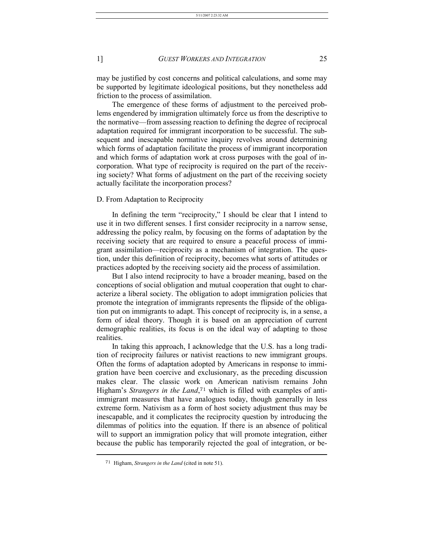may be justified by cost concerns and political calculations, and some may be supported by legitimate ideological positions, but they nonetheless add friction to the process of assimilation.

The emergence of these forms of adjustment to the perceived problems engendered by immigration ultimately force us from the descriptive to the normative—from assessing reaction to defining the degree of reciprocal adaptation required for immigrant incorporation to be successful. The subsequent and inescapable normative inquiry revolves around determining which forms of adaptation facilitate the process of immigrant incorporation and which forms of adaptation work at cross purposes with the goal of incorporation. What type of reciprocity is required on the part of the receiving society? What forms of adjustment on the part of the receiving society actually facilitate the incorporation process?

#### D. From Adaptation to Reciprocity

In defining the term "reciprocity," I should be clear that I intend to use it in two different senses. I first consider reciprocity in a narrow sense, addressing the policy realm, by focusing on the forms of adaptation by the receiving society that are required to ensure a peaceful process of immigrant assimilation—reciprocity as a mechanism of integration. The question, under this definition of reciprocity, becomes what sorts of attitudes or practices adopted by the receiving society aid the process of assimilation.

But I also intend reciprocity to have a broader meaning, based on the conceptions of social obligation and mutual cooperation that ought to characterize a liberal society. The obligation to adopt immigration policies that promote the integration of immigrants represents the flipside of the obligation put on immigrants to adapt. This concept of reciprocity is, in a sense, a form of ideal theory. Though it is based on an appreciation of current demographic realities, its focus is on the ideal way of adapting to those realities.

In taking this approach, I acknowledge that the U.S. has a long tradition of reciprocity failures or nativist reactions to new immigrant groups. Often the forms of adaptation adopted by Americans in response to immigration have been coercive and exclusionary, as the preceding discussion makes clear. The classic work on American nativism remains John Higham's Strangers in the Land,<sup>71</sup> which is filled with examples of antiimmigrant measures that have analogues today, though generally in less extreme form. Nativism as a form of host society adjustment thus may be inescapable, and it complicates the reciprocity question by introducing the dilemmas of politics into the equation. If there is an absence of political will to support an immigration policy that will promote integration, either because the public has temporarily rejected the goal of integration, or be- 

<sup>71</sup> Higham, Strangers in the Land (cited in note 51).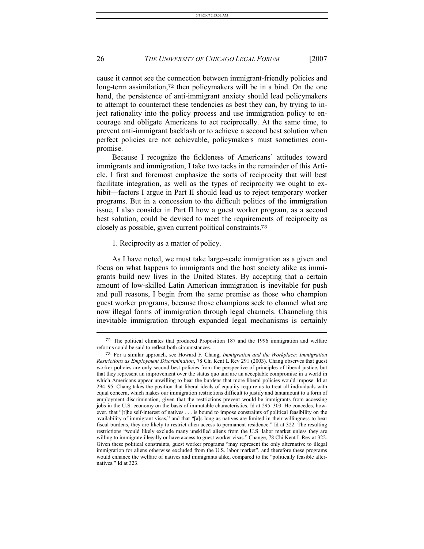cause it cannot see the connection between immigrant-friendly policies and long-term assimilation,<sup>72</sup> then policymakers will be in a bind. On the one hand, the persistence of anti-immigrant anxiety should lead policymakers to attempt to counteract these tendencies as best they can, by trying to inject rationality into the policy process and use immigration policy to encourage and obligate Americans to act reciprocally. At the same time, to prevent anti-immigrant backlash or to achieve a second best solution when perfect policies are not achievable, policymakers must sometimes compromise.

Because I recognize the fickleness of Americans' attitudes toward immigrants and immigration, I take two tacks in the remainder of this Article. I first and foremost emphasize the sorts of reciprocity that will best facilitate integration, as well as the types of reciprocity we ought to exhibit—factors I argue in Part II should lead us to reject temporary worker programs. But in a concession to the difficult politics of the immigration issue, I also consider in Part II how a guest worker program, as a second best solution, could be devised to meet the requirements of reciprocity as closely as possible, given current political constraints.<sup>73</sup>

1. Reciprocity as a matter of policy.

 $\overline{a}$ 

As I have noted, we must take large-scale immigration as a given and focus on what happens to immigrants and the host society alike as immigrants build new lives in the United States. By accepting that a certain amount of low-skilled Latin American immigration is inevitable for push and pull reasons, I begin from the same premise as those who champion guest worker programs, because those champions seek to channel what are now illegal forms of immigration through legal channels. Channeling this inevitable immigration through expanded legal mechanisms is certainly

<sup>72</sup> The political climates that produced Proposition 187 and the 1996 immigration and welfare reforms could be said to reflect both circumstances.

<sup>73</sup> For a similar approach, see Howard F. Chang, Immigration and the Workplace: Immigration Restrictions as Employment Discrimination, 78 Chi Kent L Rev 291 (2003). Chang observes that guest worker policies are only second-best policies from the perspective of principles of liberal justice, but that they represent an improvement over the status quo and are an acceptable compromise in a world in which Americans appear unwilling to bear the burdens that more liberal policies would impose. Id at 294–95. Chang takes the position that liberal ideals of equality require us to treat all individuals with equal concern, which makes our immigration restrictions difficult to justify and tantamount to a form of employment discrimination, given that the restrictions prevent would-be immigrants from accessing jobs in the U.S. economy on the basis of immutable characteristics. Id at 295–303. He concedes, however, that "[t]he self-interest of natives . . . is bound to impose constraints of political feasibility on the availability of immigrant visas," and that "[a]s long as natives are limited in their willingness to bear fiscal burdens, they are likely to restrict alien access to permanent residence." Id at 322. The resulting restrictions "would likely exclude many unskilled aliens from the U.S. labor market unless they are willing to immigrate illegally or have access to guest worker visas." Change, 78 Chi Kent L Rev at 322. Given these political constraints, guest worker programs "may represent the only alternative to illegal immigration for aliens otherwise excluded from the U.S. labor market", and therefore these programs would enhance the welfare of natives and immigrants alike, compared to the "politically feasible alternatives." Id at 323.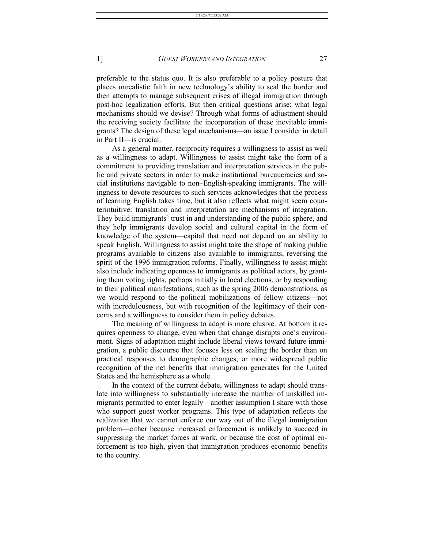preferable to the status quo. It is also preferable to a policy posture that places unrealistic faith in new technology's ability to seal the border and then attempts to manage subsequent crises of illegal immigration through post-hoc legalization efforts. But then critical questions arise: what legal mechanisms should we devise? Through what forms of adjustment should the receiving society facilitate the incorporation of these inevitable immigrants? The design of these legal mechanisms—an issue I consider in detail in Part II—is crucial.

As a general matter, reciprocity requires a willingness to assist as well as a willingness to adapt. Willingness to assist might take the form of a commitment to providing translation and interpretation services in the public and private sectors in order to make institutional bureaucracies and social institutions navigable to non–English-speaking immigrants. The willingness to devote resources to such services acknowledges that the process of learning English takes time, but it also reflects what might seem counterintuitive: translation and interpretation are mechanisms of integration. They build immigrants' trust in and understanding of the public sphere, and they help immigrants develop social and cultural capital in the form of knowledge of the system—capital that need not depend on an ability to speak English. Willingness to assist might take the shape of making public programs available to citizens also available to immigrants, reversing the spirit of the 1996 immigration reforms. Finally, willingness to assist might also include indicating openness to immigrants as political actors, by granting them voting rights, perhaps initially in local elections, or by responding to their political manifestations, such as the spring 2006 demonstrations, as we would respond to the political mobilizations of fellow citizens—not with incredulousness, but with recognition of the legitimacy of their concerns and a willingness to consider them in policy debates.

The meaning of willingness to adapt is more elusive. At bottom it requires openness to change, even when that change disrupts one's environment. Signs of adaptation might include liberal views toward future immigration, a public discourse that focuses less on sealing the border than on practical responses to demographic changes, or more widespread public recognition of the net benefits that immigration generates for the United States and the hemisphere as a whole.

In the context of the current debate, willingness to adapt should translate into willingness to substantially increase the number of unskilled immigrants permitted to enter legally—another assumption I share with those who support guest worker programs. This type of adaptation reflects the realization that we cannot enforce our way out of the illegal immigration problem—either because increased enforcement is unlikely to succeed in suppressing the market forces at work, or because the cost of optimal enforcement is too high, given that immigration produces economic benefits to the country.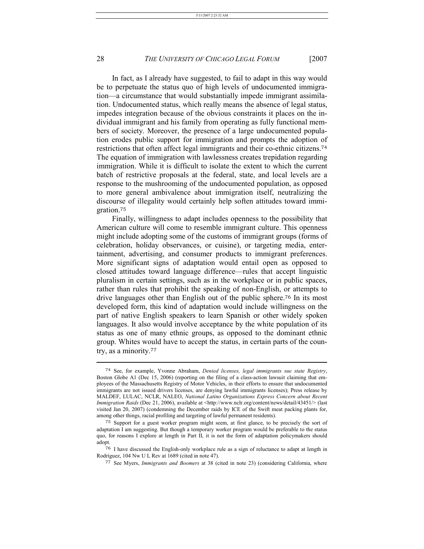In fact, as I already have suggested, to fail to adapt in this way would be to perpetuate the status quo of high levels of undocumented immigration—a circumstance that would substantially impede immigrant assimilation. Undocumented status, which really means the absence of legal status, impedes integration because of the obvious constraints it places on the individual immigrant and his family from operating as fully functional members of society. Moreover, the presence of a large undocumented population erodes public support for immigration and prompts the adoption of restrictions that often affect legal immigrants and their co-ethnic citizens.<sup>74</sup> The equation of immigration with lawlessness creates trepidation regarding immigration. While it is difficult to isolate the extent to which the current batch of restrictive proposals at the federal, state, and local levels are a response to the mushrooming of the undocumented population, as opposed to more general ambivalence about immigration itself, neutralizing the discourse of illegality would certainly help soften attitudes toward immigration.<sup>75</sup>

Finally, willingness to adapt includes openness to the possibility that American culture will come to resemble immigrant culture. This openness might include adopting some of the customs of immigrant groups (forms of celebration, holiday observances, or cuisine), or targeting media, entertainment, advertising, and consumer products to immigrant preferences. More significant signs of adaptation would entail open as opposed to closed attitudes toward language difference—rules that accept linguistic pluralism in certain settings, such as in the workplace or in public spaces, rather than rules that prohibit the speaking of non-English, or attempts to drive languages other than English out of the public sphere.76 In its most developed form, this kind of adaptation would include willingness on the part of native English speakers to learn Spanish or other widely spoken languages. It also would involve acceptance by the white population of its status as one of many ethnic groups, as opposed to the dominant ethnic group. Whites would have to accept the status, in certain parts of the country, as a minority.<sup>77</sup>

<sup>74</sup> See, for example, Yvonne Abraham, Denied licenses, legal immigrants sue state Registry, Boston Globe A1 (Dec 15, 2006) (reporting on the filing of a class-action lawsuit claiming that employees of the Massachusetts Registry of Motor Vehicles, in their efforts to ensure that undocumented immigrants are not issued drivers licenses, are denying lawful immigrants licenses); Press release by MALDEF, LULAC, NCLR, NALEO, National Latino Organizations Express Concern about Recent Immigration Raids (Dec 21, 2006), available at <http://www.nclr.org/content/news/detail/43451/> (last visited Jan 20, 2007) (condemning the December raids by ICE of the Swift meat packing plants for, among other things, racial profiling and targeting of lawful permanent residents).

<sup>75</sup> Support for a guest worker program might seem, at first glance, to be precisely the sort of adaptation I am suggesting. But though a temporary worker program would be preferable to the status quo, for reasons I explore at length in Part II, it is not the form of adaptation policymakers should adopt.

<sup>&</sup>lt;sup>76</sup> I have discussed the English-only workplace rule as a sign of reluctance to adapt at length in Rodríguez, 104 Nw U L Rev at 1689 (cited in note 47).

<sup>77</sup> See Myers, Immigrants and Boomers at 38 (cited in note 23) (considering California, where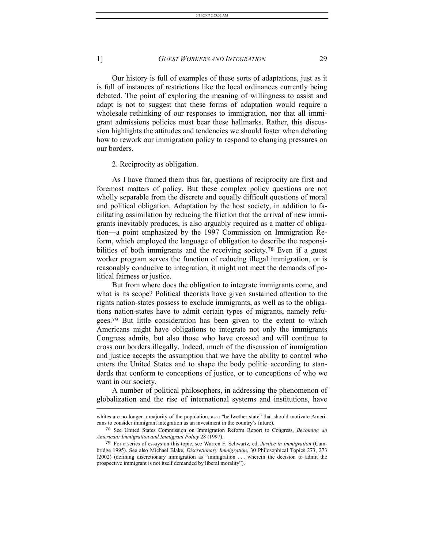Our history is full of examples of these sorts of adaptations, just as it is full of instances of restrictions like the local ordinances currently being debated. The point of exploring the meaning of willingness to assist and adapt is not to suggest that these forms of adaptation would require a wholesale rethinking of our responses to immigration, nor that all immigrant admissions policies must bear these hallmarks. Rather, this discussion highlights the attitudes and tendencies we should foster when debating how to rework our immigration policy to respond to changing pressures on our borders.

#### 2. Reciprocity as obligation.

As I have framed them thus far, questions of reciprocity are first and foremost matters of policy. But these complex policy questions are not wholly separable from the discrete and equally difficult questions of moral and political obligation. Adaptation by the host society, in addition to facilitating assimilation by reducing the friction that the arrival of new immigrants inevitably produces, is also arguably required as a matter of obligation—a point emphasized by the 1997 Commission on Immigration Reform, which employed the language of obligation to describe the responsibilities of both immigrants and the receiving society.<sup>78</sup> Even if a guest worker program serves the function of reducing illegal immigration, or is reasonably conducive to integration, it might not meet the demands of political fairness or justice.

But from where does the obligation to integrate immigrants come, and what is its scope? Political theorists have given sustained attention to the rights nation-states possess to exclude immigrants, as well as to the obligations nation-states have to admit certain types of migrants, namely refugees.79 But little consideration has been given to the extent to which Americans might have obligations to integrate not only the immigrants Congress admits, but also those who have crossed and will continue to cross our borders illegally. Indeed, much of the discussion of immigration and justice accepts the assumption that we have the ability to control who enters the United States and to shape the body politic according to standards that conform to conceptions of justice, or to conceptions of who we want in our society.

A number of political philosophers, in addressing the phenomenon of globalization and the rise of international systems and institutions, have  $\overline{a}$ 

whites are no longer a majority of the population, as a "bellwether state" that should motivate Americans to consider immigrant integration as an investment in the country's future).

<sup>78</sup> See United States Commission on Immigration Reform Report to Congress, Becoming an American: Immigration and Immigrant Policy 28 (1997).

<sup>79</sup> For a series of essays on this topic, see Warren F. Schwartz, ed, Justice in Immigration (Cambridge 1995). See also Michael Blake, Discretionary Immigration, 30 Philosophical Topics 273, 273 (2002) (defining discretionary immigration as "immigration . . . wherein the decision to admit the prospective immigrant is not itself demanded by liberal morality").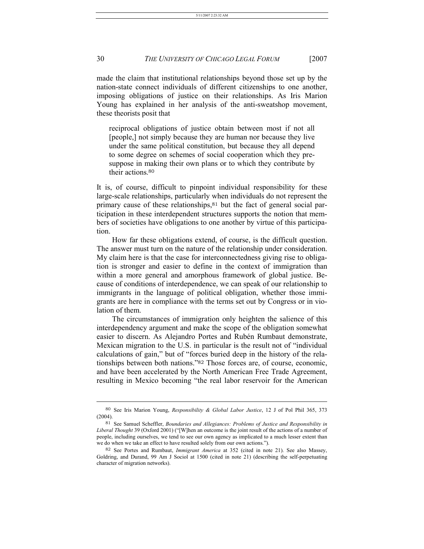made the claim that institutional relationships beyond those set up by the nation-state connect individuals of different citizenships to one another, imposing obligations of justice on their relationships. As Iris Marion Young has explained in her analysis of the anti-sweatshop movement, these theorists posit that

reciprocal obligations of justice obtain between most if not all [people,] not simply because they are human nor because they live under the same political constitution, but because they all depend to some degree on schemes of social cooperation which they presuppose in making their own plans or to which they contribute by their actions.<sup>80</sup>

It is, of course, difficult to pinpoint individual responsibility for these large-scale relationships, particularly when individuals do not represent the primary cause of these relationships,81 but the fact of general social participation in these interdependent structures supports the notion that members of societies have obligations to one another by virtue of this participation.

How far these obligations extend, of course, is the difficult question. The answer must turn on the nature of the relationship under consideration. My claim here is that the case for interconnectedness giving rise to obligation is stronger and easier to define in the context of immigration than within a more general and amorphous framework of global justice. Because of conditions of interdependence, we can speak of our relationship to immigrants in the language of political obligation, whether those immigrants are here in compliance with the terms set out by Congress or in violation of them.

The circumstances of immigration only heighten the salience of this interdependency argument and make the scope of the obligation somewhat easier to discern. As Alejandro Portes and Rubén Rumbaut demonstrate, Mexican migration to the U.S. in particular is the result not of "individual calculations of gain," but of "forces buried deep in the history of the relationships between both nations."82 Those forces are, of course, economic, and have been accelerated by the North American Free Trade Agreement, resulting in Mexico becoming "the real labor reservoir for the American

<sup>80</sup> See Iris Marion Young, Responsibility & Global Labor Justice, 12 J of Pol Phil 365, 373 (2004).

<sup>81</sup> See Samuel Scheffler, Boundaries and Allegiances: Problems of Justice and Responsibility in Liberal Thought 39 (Oxford 2001) ("[W]hen an outcome is the joint result of the actions of a number of people, including ourselves, we tend to see our own agency as implicated to a much lesser extent than we do when we take an effect to have resulted solely from our own actions.").

<sup>82</sup> See Portes and Rumbaut, *Immigrant America* at 352 (cited in note 21). See also Massey, Goldring, and Durand, 99 Am J Sociol at 1500 (cited in note 21) (describing the self-perpetuating character of migration networks).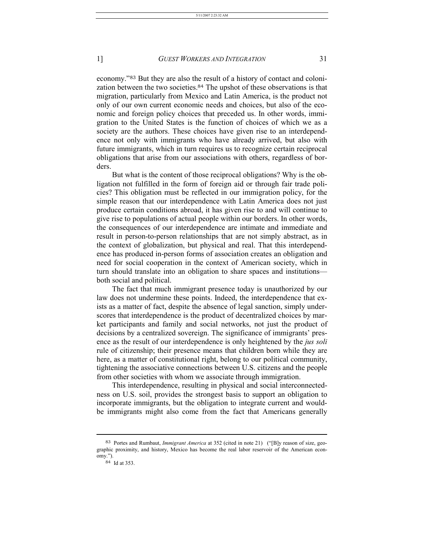economy."83 But they are also the result of a history of contact and colonization between the two societies.84 The upshot of these observations is that migration, particularly from Mexico and Latin America, is the product not only of our own current economic needs and choices, but also of the economic and foreign policy choices that preceded us. In other words, immigration to the United States is the function of choices of which we as a society are the authors. These choices have given rise to an interdependence not only with immigrants who have already arrived, but also with future immigrants, which in turn requires us to recognize certain reciprocal obligations that arise from our associations with others, regardless of borders.

But what is the content of those reciprocal obligations? Why is the obligation not fulfilled in the form of foreign aid or through fair trade policies? This obligation must be reflected in our immigration policy, for the simple reason that our interdependence with Latin America does not just produce certain conditions abroad, it has given rise to and will continue to give rise to populations of actual people within our borders. In other words, the consequences of our interdependence are intimate and immediate and result in person-to-person relationships that are not simply abstract, as in the context of globalization, but physical and real. That this interdependence has produced in-person forms of association creates an obligation and need for social cooperation in the context of American society, which in turn should translate into an obligation to share spaces and institutions both social and political.

The fact that much immigrant presence today is unauthorized by our law does not undermine these points. Indeed, the interdependence that exists as a matter of fact, despite the absence of legal sanction, simply underscores that interdependence is the product of decentralized choices by market participants and family and social networks, not just the product of decisions by a centralized sovereign. The significance of immigrants' presence as the result of our interdependence is only heightened by the *jus soli* rule of citizenship; their presence means that children born while they are here, as a matter of constitutional right, belong to our political community, tightening the associative connections between U.S. citizens and the people from other societies with whom we associate through immigration.

This interdependence, resulting in physical and social interconnectedness on U.S. soil, provides the strongest basis to support an obligation to incorporate immigrants, but the obligation to integrate current and wouldbe immigrants might also come from the fact that Americans generally

<sup>83</sup> Portes and Rumbaut, Immigrant America at 352 (cited in note 21) ("[B]y reason of size, geographic proximity, and history, Mexico has become the real labor reservoir of the American economy.").

<sup>84</sup> Id at 353.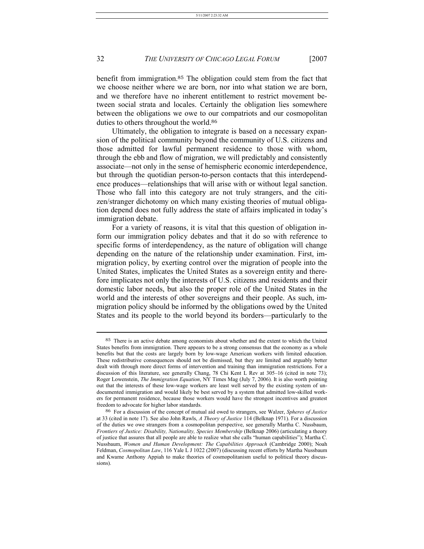benefit from immigration.85 The obligation could stem from the fact that we choose neither where we are born, nor into what station we are born, and we therefore have no inherent entitlement to restrict movement between social strata and locales. Certainly the obligation lies somewhere between the obligations we owe to our compatriots and our cosmopolitan duties to others throughout the world.<sup>86</sup>

Ultimately, the obligation to integrate is based on a necessary expansion of the political community beyond the community of U.S. citizens and those admitted for lawful permanent residence to those with whom, through the ebb and flow of migration, we will predictably and consistently associate—not only in the sense of hemispheric economic interdependence, but through the quotidian person-to-person contacts that this interdependence produces—relationships that will arise with or without legal sanction. Those who fall into this category are not truly strangers, and the citizen/stranger dichotomy on which many existing theories of mutual obligation depend does not fully address the state of affairs implicated in today's immigration debate.

For a variety of reasons, it is vital that this question of obligation inform our immigration policy debates and that it do so with reference to specific forms of interdependency, as the nature of obligation will change depending on the nature of the relationship under examination. First, immigration policy, by exerting control over the migration of people into the United States, implicates the United States as a sovereign entity and therefore implicates not only the interests of U.S. citizens and residents and their domestic labor needs, but also the proper role of the United States in the world and the interests of other sovereigns and their people. As such, immigration policy should be informed by the obligations owed by the United States and its people to the world beyond its borders—particularly to the

 $\overline{a}$ 

<sup>85</sup> There is an active debate among economists about whether and the extent to which the United States benefits from immigration. There appears to be a strong consensus that the economy as a whole benefits but that the costs are largely born by low-wage American workers with limited education. These redistributive consequences should not be dismissed, but they are limited and arguably better dealt with through more direct forms of intervention and training than immigration restrictions. For a discussion of this literature, see generally Chang, 78 Chi Kent L Rev at 305–16 (cited in note 73); Roger Lowenstein, *The Immigration Equation*, NY Times Mag (July 7, 2006). It is also worth pointing out that the interests of these low-wage workers are least well served by the existing system of undocumented immigration and would likely be best served by a system that admitted low-skilled workers for permanent residence, because those workers would have the strongest incentives and greatest freedom to advocate for higher labor standards.

<sup>86</sup> For a discussion of the concept of mutual aid owed to strangers, see Walzer, Spheres of Justice at 33 (cited in note 17). See also John Rawls, A Theory of Justice 114 (Belknap 1971). For a discussion of the duties we owe strangers from a cosmopolitan perspective, see generally Martha C. Nussbaum, Frontiers of Justice: Disability, Nationality, Species Membership (Belknap 2006) (articulating a theory of justice that assures that all people are able to realize what she calls "human capabilities"); Martha C. Nussbaum, Women and Human Development: The Capabilities Approach (Cambridge 2000); Noah Feldman, Cosmopolitan Law, 116 Yale L J 1022 (2007) (discussing recent efforts by Martha Nussbaum and Kwame Anthony Appiah to make theories of cosmopolitanism useful to political theory discussions).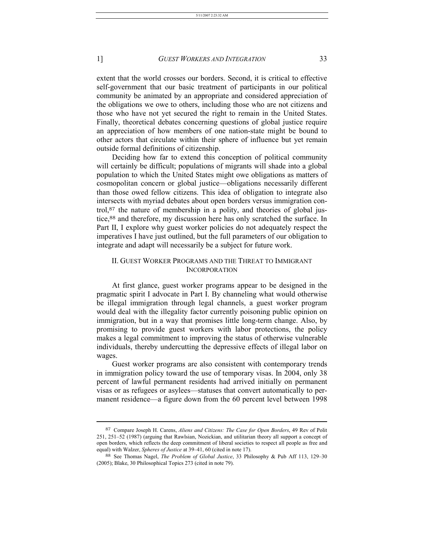extent that the world crosses our borders. Second, it is critical to effective self-government that our basic treatment of participants in our political community be animated by an appropriate and considered appreciation of the obligations we owe to others, including those who are not citizens and those who have not yet secured the right to remain in the United States. Finally, theoretical debates concerning questions of global justice require an appreciation of how members of one nation-state might be bound to other actors that circulate within their sphere of influence but yet remain outside formal definitions of citizenship.

Deciding how far to extend this conception of political community will certainly be difficult; populations of migrants will shade into a global population to which the United States might owe obligations as matters of cosmopolitan concern or global justice—obligations necessarily different than those owed fellow citizens. This idea of obligation to integrate also intersects with myriad debates about open borders versus immigration control,87 the nature of membership in a polity, and theories of global justice,88 and therefore, my discussion here has only scratched the surface. In Part II, I explore why guest worker policies do not adequately respect the imperatives I have just outlined, but the full parameters of our obligation to integrate and adapt will necessarily be a subject for future work.

# II. GUEST WORKER PROGRAMS AND THE THREAT TO IMMIGRANT INCORPORATION

At first glance, guest worker programs appear to be designed in the pragmatic spirit I advocate in Part I. By channeling what would otherwise be illegal immigration through legal channels, a guest worker program would deal with the illegality factor currently poisoning public opinion on immigration, but in a way that promises little long-term change. Also, by promising to provide guest workers with labor protections, the policy makes a legal commitment to improving the status of otherwise vulnerable individuals, thereby undercutting the depressive effects of illegal labor on wages.

Guest worker programs are also consistent with contemporary trends in immigration policy toward the use of temporary visas. In 2004, only 38 percent of lawful permanent residents had arrived initially on permanent visas or as refugees or asylees—statuses that convert automatically to permanent residence—a figure down from the 60 percent level between 1998

<sup>87</sup> Compare Joseph H. Carens, Aliens and Citizens: The Case for Open Borders, 49 Rev of Polit 251, 251–52 (1987) (arguing that Rawlsian, Nozickian, and utilitarian theory all support a concept of open borders, which reflects the deep commitment of liberal societies to respect all people as free and equal) with Walzer, Spheres of Justice at 39-41, 60 (cited in note 17).

<sup>88</sup> See Thomas Nagel, The Problem of Global Justice, 33 Philosophy & Pub Aff 113, 129-30 (2005); Blake, 30 Philosophical Topics 273 (cited in note 79).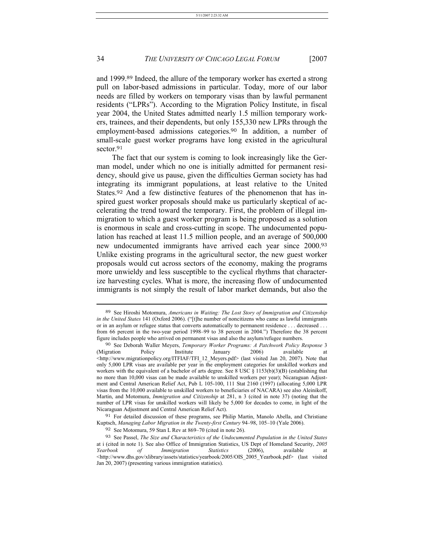and 1999.89 Indeed, the allure of the temporary worker has exerted a strong pull on labor-based admissions in particular. Today, more of our labor needs are filled by workers on temporary visas than by lawful permanent residents ("LPRs"). According to the Migration Policy Institute, in fiscal year 2004, the United States admitted nearly 1.5 million temporary workers, trainees, and their dependents, but only 155,330 new LPRs through the employment-based admissions categories.<sup>90</sup> In addition, a number of small-scale guest worker programs have long existed in the agricultural sector.<sup>91</sup>

The fact that our system is coming to look increasingly like the German model, under which no one is initially admitted for permanent residency, should give us pause, given the difficulties German society has had integrating its immigrant populations, at least relative to the United States.<sup>92</sup> And a few distinctive features of the phenomenon that has inspired guest worker proposals should make us particularly skeptical of accelerating the trend toward the temporary. First, the problem of illegal immigration to which a guest worker program is being proposed as a solution is enormous in scale and cross-cutting in scope. The undocumented population has reached at least 11.5 million people, and an average of 500,000 new undocumented immigrants have arrived each year since 2000.<sup>93</sup> Unlike existing programs in the agricultural sector, the new guest worker proposals would cut across sectors of the economy, making the programs more unwieldy and less susceptible to the cyclical rhythms that characterize harvesting cycles. What is more, the increasing flow of undocumented immigrants is not simply the result of labor market demands, but also the

<sup>91</sup> For detailed discussion of these programs, see Philip Martin, Manolo Abella, and Christiane Kuptsch, Managing Labor Migration in the Twenty-first Century 94–98, 105–10 (Yale 2006).

 $\overline{a}$ 

<sup>89</sup> See Hiroshi Motomura, Americans in Waiting: The Lost Story of Immigration and Citizenship in the United States 141 (Oxford 2006). ("[t]he number of noncitizens who came as lawful immigrants or in an asylum or refugee status that converts automatically to permanent residence . . . decreased . . . from 66 percent in the two-year period 1998–99 to 38 percent in 2004.") Therefore the 38 percent figure includes people who arrived on permanent visas and also the asylum/refugee numbers.

<sup>&</sup>lt;sup>90</sup> See Deborah Waller Meyers, *Temporary Worker Programs: A Patchwork Policy Response* 3<br>(Migration Policy Institute January 2006) available at (Migration Policy Institute January 2006) available at <http://www.migrationpolicy.org/ITFIAF/TFI\_12\_Meyers.pdf> (last visited Jan 20, 2007). Note that only 5,000 LPR visas are available per year in the employment categories for unskilled workers and workers with the equivalent of a bachelor of arts degree. See 8 USC  $\S$  1153(b)(3)(B) (establishing that no more than 10,000 visas can be made available to unskilled workers per year); Nicaraguan Adjustment and Central American Relief Act, Pub L 105-100, 111 Stat 2160 (1997) (allocating 5,000 LPR visas from the 10,000 available to unskilled workers to beneficiaries of NACARA) see also Aleinikoff, Martin, and Motomura, Immigration and Citizenship at 281, n 3 (cited in note 37) (noting that the number of LPR visas for unskilled workers will likely be 5,000 for decades to come, in light of the Nicaraguan Adjustment and Central American Relief Act).

<sup>92</sup> See Motomura, 59 Stan L Rev at 869–70 (cited in note 26).

<sup>93</sup> See Passel, The Size and Characteristics of the Undocumented Population in the United States at i (cited in note 1). See also Office of Immigration Statistics, US Dept of Homeland Security, 2005<br> *Yearbook* of *Immigration* Statistics (2006), available at Yearbook of Immigration Statistics (2006), available at <http://www.dhs.gov/xlibrary/assets/statistics/yearbook/2005/OIS\_2005\_Yearbook.pdf> (last visited Jan 20, 2007) (presenting various immigration statistics).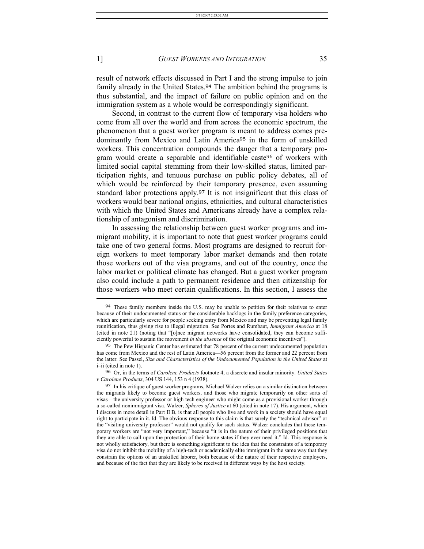result of network effects discussed in Part I and the strong impulse to join family already in the United States.<sup>94</sup> The ambition behind the programs is thus substantial, and the impact of failure on public opinion and on the immigration system as a whole would be correspondingly significant.

Second, in contrast to the current flow of temporary visa holders who come from all over the world and from across the economic spectrum, the phenomenon that a guest worker program is meant to address comes predominantly from Mexico and Latin America<sup>95</sup> in the form of unskilled workers. This concentration compounds the danger that a temporary program would create a separable and identifiable caste <sup>96</sup> of workers with limited social capital stemming from their low-skilled status, limited participation rights, and tenuous purchase on public policy debates, all of which would be reinforced by their temporary presence, even assuming standard labor protections apply.97 It is not insignificant that this class of workers would bear national origins, ethnicities, and cultural characteristics with which the United States and Americans already have a complex relationship of antagonism and discrimination.

In assessing the relationship between guest worker programs and immigrant mobility, it is important to note that guest worker programs could take one of two general forms. Most programs are designed to recruit foreign workers to meet temporary labor market demands and then rotate those workers out of the visa programs, and out of the country, once the labor market or political climate has changed. But a guest worker program also could include a path to permanent residence and then citizenship for those workers who meet certain qualifications. In this section, I assess the .<br>.

<sup>96</sup> Or, in the terms of Carolene Products footnote 4, a discrete and insular minority. United States v Carolene Products, 304 US 144, 153 n 4 (1938).

<sup>&</sup>lt;sup>94</sup> These family members inside the U.S. may be unable to petition for their relatives to enter because of their undocumented status or the considerable backlogs in the family preference categories, which are particularly severe for people seeking entry from Mexico and may be preventing legal family reunification, thus giving rise to illegal migration. See Portes and Rumbaut, *Immigrant America* at 18 (cited in note 21) (noting that "[o]nce migrant networks have consolidated, they can become sufficiently powerful to sustain the movement in the absence of the original economic incentives").

<sup>95</sup> The Pew Hispanic Center has estimated that 78 percent of the current undocumented population has come from Mexico and the rest of Latin America—56 percent from the former and 22 percent from the latter. See Passel, Size and Characteristics of the Undocumented Population in the United States at i–ii (cited in note 1).

<sup>97</sup> In his critique of guest worker programs, Michael Walzer relies on a similar distinction between the migrants likely to become guest workers, and those who migrate temporarily on other sorts of visas—the university professor or high tech engineer who might come as a provisional worker through a so-called nonimmigrant visa. Walzer, Spheres of Justice at 60 (cited in note 17). His argument, which I discuss in more detail in Part II B, is that all people who live and work in a society should have equal right to participate in it. Id. The obvious response to this claim is that surely the "technical advisor" or the "visiting university professor" would not qualify for such status. Walzer concludes that these temporary workers are "not very important," because "it is in the nature of their privileged positions that they are able to call upon the protection of their home states if they ever need it." Id. This response is not wholly satisfactory, but there is something significant to the idea that the constraints of a temporary visa do not inhibit the mobility of a high-tech or academically elite immigrant in the same way that they constrain the options of an unskilled laborer, both because of the nature of their respective employers, and because of the fact that they are likely to be received in different ways by the host society.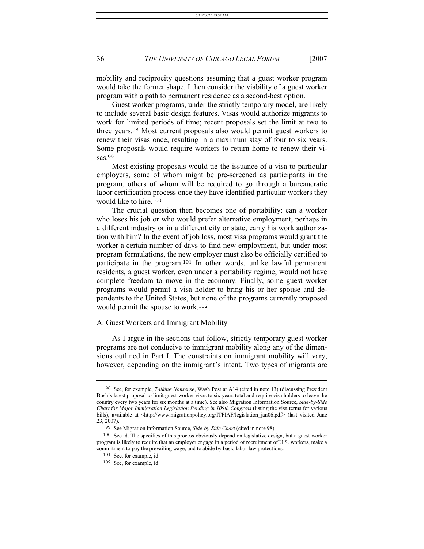mobility and reciprocity questions assuming that a guest worker program would take the former shape. I then consider the viability of a guest worker program with a path to permanent residence as a second-best option.

Guest worker programs, under the strictly temporary model, are likely to include several basic design features. Visas would authorize migrants to work for limited periods of time; recent proposals set the limit at two to three years.98 Most current proposals also would permit guest workers to renew their visas once, resulting in a maximum stay of four to six years. Some proposals would require workers to return home to renew their visas.<sup>99</sup>

Most existing proposals would tie the issuance of a visa to particular employers, some of whom might be pre-screened as participants in the program, others of whom will be required to go through a bureaucratic labor certification process once they have identified particular workers they would like to hire.<sup>100</sup>

The crucial question then becomes one of portability: can a worker who loses his job or who would prefer alternative employment, perhaps in a different industry or in a different city or state, carry his work authorization with him? In the event of job loss, most visa programs would grant the worker a certain number of days to find new employment, but under most program formulations, the new employer must also be officially certified to participate in the program.101 In other words, unlike lawful permanent residents, a guest worker, even under a portability regime, would not have complete freedom to move in the economy. Finally, some guest worker programs would permit a visa holder to bring his or her spouse and dependents to the United States, but none of the programs currently proposed would permit the spouse to work.<sup>102</sup>

#### A. Guest Workers and Immigrant Mobility

As I argue in the sections that follow, strictly temporary guest worker programs are not conducive to immigrant mobility along any of the dimensions outlined in Part I. The constraints on immigrant mobility will vary, however, depending on the immigrant's intent. Two types of migrants are

<sup>98</sup> See, for example, Talking Nonsense, Wash Post at A14 (cited in note 13) (discussing President Bush's latest proposal to limit guest worker visas to six years total and require visa holders to leave the country every two years for six months at a time). See also Migration Information Source, Side-by-Side Chart for Major Immigration Legislation Pending in 109th Congress (listing the visa terms for various bills), available at <http://www.migrationpolicy.org/ITFIAF/legislation\_jan06.pdf> (last visited June 23, 2007).

<sup>99</sup> See Migration Information Source, Side-by-Side Chart (cited in note 98).

<sup>100</sup> See id. The specifics of this process obviously depend on legislative design, but a guest worker program is likely to require that an employer engage in a period of recruitment of U.S. workers, make a commitment to pay the prevailing wage, and to abide by basic labor law protections.

<sup>101</sup> See, for example, id.

<sup>102</sup> See, for example, id.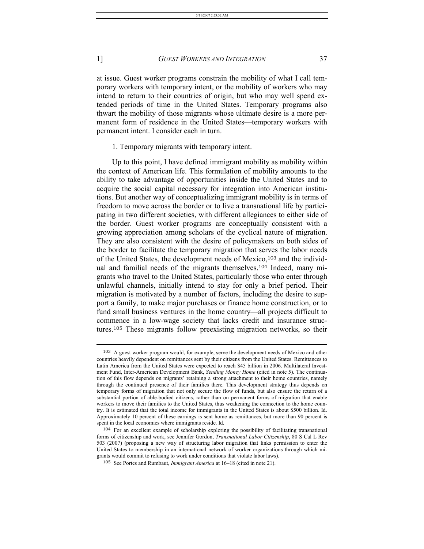at issue. Guest worker programs constrain the mobility of what I call temporary workers with temporary intent, or the mobility of workers who may intend to return to their countries of origin, but who may well spend extended periods of time in the United States. Temporary programs also thwart the mobility of those migrants whose ultimate desire is a more permanent form of residence in the United States—temporary workers with permanent intent. I consider each in turn.

1. Temporary migrants with temporary intent.

Up to this point, I have defined immigrant mobility as mobility within the context of American life. This formulation of mobility amounts to the ability to take advantage of opportunities inside the United States and to acquire the social capital necessary for integration into American institutions. But another way of conceptualizing immigrant mobility is in terms of freedom to move across the border or to live a transnational life by participating in two different societies, with different allegiances to either side of the border. Guest worker programs are conceptually consistent with a growing appreciation among scholars of the cyclical nature of migration. They are also consistent with the desire of policymakers on both sides of the border to facilitate the temporary migration that serves the labor needs of the United States, the development needs of Mexico,103 and the individual and familial needs of the migrants themselves.104 Indeed, many migrants who travel to the United States, particularly those who enter through unlawful channels, initially intend to stay for only a brief period. Their migration is motivated by a number of factors, including the desire to support a family, to make major purchases or finance home construction, or to fund small business ventures in the home country—all projects difficult to commence in a low-wage society that lacks credit and insurance structures.105 These migrants follow preexisting migration networks, so their

<sup>103</sup> A guest worker program would, for example, serve the development needs of Mexico and other countries heavily dependent on remittances sent by their citizens from the United States. Remittances to Latin America from the United States were expected to reach \$45 billion in 2006. Multilateral Investment Fund, Inter-American Development Bank, Sending Money Home (cited in note 5). The continuation of this flow depends on migrants' retaining a strong attachment to their home countries, namely through the continued presence of their families there. This development strategy thus depends on temporary forms of migration that not only secure the flow of funds, but also ensure the return of a substantial portion of able-bodied citizens, rather than on permanent forms of migration that enable workers to move their families to the United States, thus weakening the connection to the home country. It is estimated that the total income for immigrants in the United States is about \$500 billion. Id. Approximately 10 percent of these earnings is sent home as remittances, but more than 90 percent is spent in the local economies where immigrants reside. Id.

<sup>104</sup> For an excellent example of scholarship exploring the possibility of facilitating transnational forms of citizenship and work, see Jennifer Gordon, Transnational Labor Citizenship, 80 S Cal L Rev 503 (2007) (proposing a new way of structuring labor migration that links permission to enter the United States to membership in an international network of worker organizations through which migrants would commit to refusing to work under conditions that violate labor laws).

<sup>105</sup> See Portes and Rumbaut, Immigrant America at 16–18 (cited in note 21).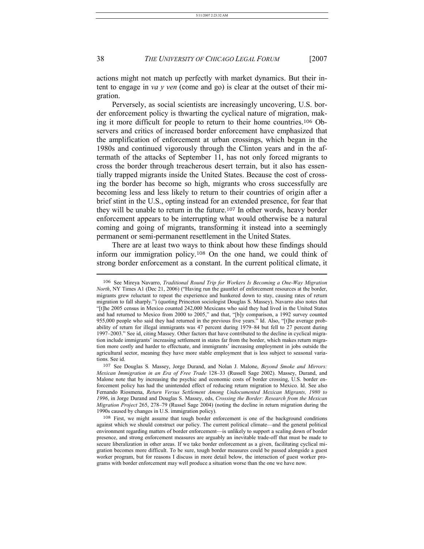actions might not match up perfectly with market dynamics. But their intent to engage in va y ven (come and go) is clear at the outset of their migration.

Perversely, as social scientists are increasingly uncovering, U.S. border enforcement policy is thwarting the cyclical nature of migration, making it more difficult for people to return to their home countries.106 Observers and critics of increased border enforcement have emphasized that the amplification of enforcement at urban crossings, which began in the 1980s and continued vigorously through the Clinton years and in the aftermath of the attacks of September 11, has not only forced migrants to cross the border through treacherous desert terrain, but it also has essentially trapped migrants inside the United States. Because the cost of crossing the border has become so high, migrants who cross successfully are becoming less and less likely to return to their countries of origin after a brief stint in the U.S., opting instead for an extended presence, for fear that they will be unable to return in the future.107 In other words, heavy border enforcement appears to be interrupting what would otherwise be a natural coming and going of migrants, transforming it instead into a seemingly permanent or semi-permanent resettlement in the United States.

There are at least two ways to think about how these findings should inform our immigration policy.108 On the one hand, we could think of strong border enforcement as a constant. In the current political climate, it 

<sup>106</sup> See Mireya Navarro, Traditional Round Trip for Workers Is Becoming a One-Way Migration North, NY Times A1 (Dec 21, 2006) ("Having run the gauntlet of enforcement resources at the border, migrants grew reluctant to repeat the experience and hunkered down to stay, causing rates of return migration to fall sharply.") (quoting Princeton sociologist Douglas S. Massey). Navarro also notes that "[t]he 2005 census in Mexico counted 242,000 Mexicans who said they had lived in the United States and had returned to Mexico from 2000 to 2005," and that, "[b]y comparison, a 1992 survey counted 955,000 people who said they had returned in the previous five years." Id. Also, "[t]he average probability of return for illegal immigrants was 47 percent during 1979–84 but fell to 27 percent during 1997–2003." See id, citing Massey. Other factors that have contributed to the decline in cyclical migration include immigrants' increasing settlement in states far from the border, which makes return migration more costly and harder to effectuate, and immigrants' increasing employment in jobs outside the agricultural sector, meaning they have more stable employment that is less subject to seasonal variations. See id.

<sup>107</sup> See Douglas S. Massey, Jorge Durand, and Nolan J. Malone, *Beyond Smoke and Mirrors:* Mexican Immigration in an Era of Free Trade 128–33 (Russell Sage 2002). Massey, Durand, and Malone note that by increasing the psychic and economic costs of border crossing, U.S. border enforcement policy has had the unintended effect of reducing return migration to Mexico. Id. See also Fernando Riosmena, Return Versus Settlement Among Undocumented Mexican Migrants, 1980 to 1996, in Jorge Durand and Douglas S. Massey, eds, Crossing the Border: Research from the Mexican Migration Project 265, 278–79 (Russel Sage 2004) (noting the decline in return migration during the 1990s caused by changes in U.S. immigration policy).

<sup>108</sup> First, we might assume that tough border enforcement is one of the background conditions against which we should construct our policy. The current political climate—and the general political environment regarding matters of border enforcement—is unlikely to support a scaling down of border presence, and strong enforcement measures are arguably an inevitable trade-off that must be made to secure liberalization in other areas. If we take border enforcement as a given, facilitating cyclical migration becomes more difficult. To be sure, tough border measures could be passed alongside a guest worker program, but for reasons I discuss in more detail below, the interaction of guest worker programs with border enforcement may well produce a situation worse than the one we have now.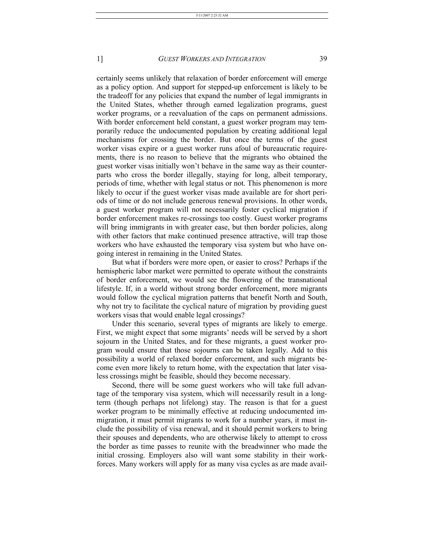certainly seems unlikely that relaxation of border enforcement will emerge as a policy option. And support for stepped-up enforcement is likely to be the tradeoff for any policies that expand the number of legal immigrants in the United States, whether through earned legalization programs, guest worker programs, or a reevaluation of the caps on permanent admissions. With border enforcement held constant, a guest worker program may temporarily reduce the undocumented population by creating additional legal mechanisms for crossing the border. But once the terms of the guest worker visas expire or a guest worker runs afoul of bureaucratic requirements, there is no reason to believe that the migrants who obtained the guest worker visas initially won't behave in the same way as their counterparts who cross the border illegally, staying for long, albeit temporary, periods of time, whether with legal status or not. This phenomenon is more likely to occur if the guest worker visas made available are for short periods of time or do not include generous renewal provisions. In other words, a guest worker program will not necessarily foster cyclical migration if border enforcement makes re-crossings too costly. Guest worker programs will bring immigrants in with greater ease, but then border policies, along with other factors that make continued presence attractive, will trap those workers who have exhausted the temporary visa system but who have ongoing interest in remaining in the United States.

But what if borders were more open, or easier to cross? Perhaps if the hemispheric labor market were permitted to operate without the constraints of border enforcement, we would see the flowering of the transnational lifestyle. If, in a world without strong border enforcement, more migrants would follow the cyclical migration patterns that benefit North and South, why not try to facilitate the cyclical nature of migration by providing guest workers visas that would enable legal crossings?

Under this scenario, several types of migrants are likely to emerge. First, we might expect that some migrants' needs will be served by a short sojourn in the United States, and for these migrants, a guest worker program would ensure that those sojourns can be taken legally. Add to this possibility a world of relaxed border enforcement, and such migrants become even more likely to return home, with the expectation that later visaless crossings might be feasible, should they become necessary.

Second, there will be some guest workers who will take full advantage of the temporary visa system, which will necessarily result in a longterm (though perhaps not lifelong) stay. The reason is that for a guest worker program to be minimally effective at reducing undocumented immigration, it must permit migrants to work for a number years, it must include the possibility of visa renewal, and it should permit workers to bring their spouses and dependents, who are otherwise likely to attempt to cross the border as time passes to reunite with the breadwinner who made the initial crossing. Employers also will want some stability in their workforces. Many workers will apply for as many visa cycles as are made avail-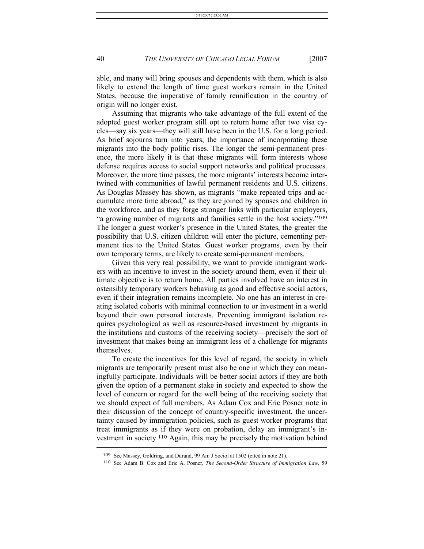able, and many will bring spouses and dependents with them, which is also likely to extend the length of time guest workers remain in the United States, because the imperative of family reunification in the country of origin will no longer exist.

Assuming that migrants who take advantage of the full extent of the adopted guest worker program still opt to return home after two visa cycles—say six years—they will still have been in the U.S. for a long period. As brief sojourns turn into years, the importance of incorporating these migrants into the body politic rises. The longer the semi-permanent presence, the more likely it is that these migrants will form interests whose defense requires access to social support networks and political processes. Moreover, the more time passes, the more migrants' interests become intertwined with communities of lawful permanent residents and U.S. citizens. As Douglas Massey has shown, as migrants "make repeated trips and accumulate more time abroad," as they are joined by spouses and children in the workforce, and as they forge stronger links with particular employers, "a growing number of migrants and families settle in the host society."<sup>109</sup> The longer a guest worker's presence in the United States, the greater the possibility that U.S. citizen children will enter the picture, cementing permanent ties to the United States. Guest worker programs, even by their own temporary terms, are likely to create semi-permanent members.

Given this very real possibility, we want to provide immigrant workers with an incentive to invest in the society around them, even if their ultimate objective is to return home. All parties involved have an interest in ostensibly temporary workers behaving as good and effective social actors, even if their integration remains incomplete. No one has an interest in creating isolated cohorts with minimal connection to or investment in a world beyond their own personal interests. Preventing immigrant isolation requires psychological as well as resource-based investment by migrants in the institutions and customs of the receiving society—precisely the sort of investment that makes being an immigrant less of a challenge for migrants themselves.

To create the incentives for this level of regard, the society in which migrants are temporarily present must also be one in which they can meaningfully participate. Individuals will be better social actors if they are both given the option of a permanent stake in society and expected to show the level of concern or regard for the well being of the receiving society that we should expect of full members. As Adam Cox and Eric Posner note in their discussion of the concept of country-specific investment, the uncertainty caused by immigration policies, such as guest worker programs that treat immigrants as if they were on probation, delay an immigrant's investment in society.110 Again, this may be precisely the motivation behind  $\overline{a}$ 

<sup>109</sup> See Massey, Goldring, and Durand, 99 Am J Sociol at 1502 (cited in note 21).

<sup>110</sup> See Adam B. Cox and Eric A. Posner, The Second-Order Structure of Immigration Law, 59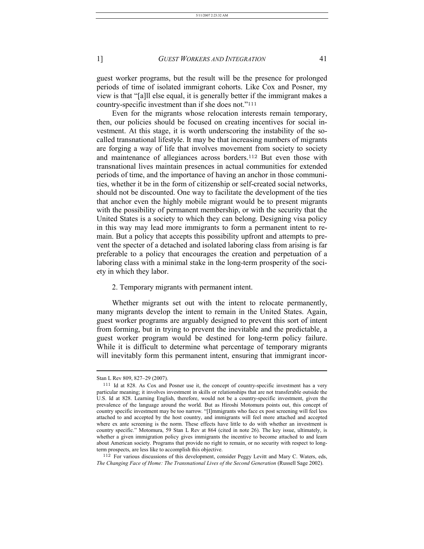guest worker programs, but the result will be the presence for prolonged periods of time of isolated immigrant cohorts. Like Cox and Posner, my view is that "[a]ll else equal, it is generally better if the immigrant makes a country-specific investment than if she does not."<sup>111</sup>

Even for the migrants whose relocation interests remain temporary, then, our policies should be focused on creating incentives for social investment. At this stage, it is worth underscoring the instability of the socalled transnational lifestyle. It may be that increasing numbers of migrants are forging a way of life that involves movement from society to society and maintenance of allegiances across borders.112 But even those with transnational lives maintain presences in actual communities for extended periods of time, and the importance of having an anchor in those communities, whether it be in the form of citizenship or self-created social networks, should not be discounted. One way to facilitate the development of the ties that anchor even the highly mobile migrant would be to present migrants with the possibility of permanent membership, or with the security that the United States is a society to which they can belong. Designing visa policy in this way may lead more immigrants to form a permanent intent to remain. But a policy that accepts this possibility upfront and attempts to prevent the specter of a detached and isolated laboring class from arising is far preferable to a policy that encourages the creation and perpetuation of a laboring class with a minimal stake in the long-term prosperity of the society in which they labor.

#### 2. Temporary migrants with permanent intent.

Whether migrants set out with the intent to relocate permanently, many migrants develop the intent to remain in the United States. Again, guest worker programs are arguably designed to prevent this sort of intent from forming, but in trying to prevent the inevitable and the predictable, a guest worker program would be destined for long-term policy failure. While it is difficult to determine what percentage of temporary migrants will inevitably form this permanent intent, ensuring that immigrant incor-

Stan L Rev 809, 827–29 (2007).

<sup>111</sup> Id at 828. As Cox and Posner use it, the concept of country-specific investment has a very particular meaning; it involves investment in skills or relationships that are not transferable outside the U.S. Id at 828. Learning English, therefore, would not be a country-specific investment, given the prevalence of the language around the world. But as Hiroshi Motomura points out, this concept of country specific investment may be too narrow. "[I]mmigrants who face ex post screening will feel less attached to and accepted by the host country, and immigrants will feel more attached and accepted where ex ante screening is the norm. These effects have little to do with whether an investment is country specific." Motomura, 59 Stan L Rev at 864 (cited in note 26). The key issue, ultimately, is whether a given immigration policy gives immigrants the incentive to become attached to and learn about American society. Programs that provide no right to remain, or no security with respect to longterm prospects, are less like to accomplish this objective.

<sup>112</sup> For various discussions of this development, consider Peggy Levitt and Mary C. Waters, eds, The Changing Face of Home: The Transnational Lives of the Second Generation (Russell Sage 2002).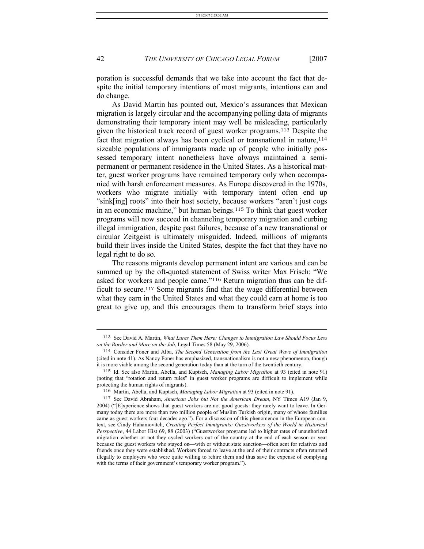poration is successful demands that we take into account the fact that despite the initial temporary intentions of most migrants, intentions can and do change.

As David Martin has pointed out, Mexico's assurances that Mexican migration is largely circular and the accompanying polling data of migrants demonstrating their temporary intent may well be misleading, particularly given the historical track record of guest worker programs.113 Despite the fact that migration always has been cyclical or transnational in nature,  $114$ sizeable populations of immigrants made up of people who initially possessed temporary intent nonetheless have always maintained a semipermanent or permanent residence in the United States. As a historical matter, guest worker programs have remained temporary only when accompanied with harsh enforcement measures. As Europe discovered in the 1970s, workers who migrate initially with temporary intent often end up "sink[ing] roots" into their host society, because workers "aren't just cogs in an economic machine," but human beings.115 To think that guest worker programs will now succeed in channeling temporary migration and curbing illegal immigration, despite past failures, because of a new transnational or circular Zeitgeist is ultimately misguided. Indeed, millions of migrants build their lives inside the United States, despite the fact that they have no legal right to do so.

The reasons migrants develop permanent intent are various and can be summed up by the oft-quoted statement of Swiss writer Max Frisch: "We asked for workers and people came."116 Return migration thus can be difficult to secure.117 Some migrants find that the wage differential between what they earn in the United States and what they could earn at home is too great to give up, and this encourages them to transform brief stays into

l

<sup>113</sup> See David A. Martin, What Lures Them Here: Changes to Immigration Law Should Focus Less on the Border and More on the Job, Legal Times 58 (May 29, 2006).

<sup>114</sup> Consider Foner and Alba, The Second Generation from the Last Great Wave of Immigration (cited in note 41). As Nancy Foner has emphasized, transnationalism is not a new phenomenon, though it is more viable among the second generation today than at the turn of the twentieth century.

<sup>115</sup> Id. See also Martin, Abella, and Kuptsch, Managing Labor Migration at 93 (cited in note 91) (noting that "rotation and return rules" in guest worker programs are difficult to implement while protecting the human rights of migrants).

<sup>116</sup> Martin, Abella, and Kuptsch, Managing Labor Migration at 93 (cited in note 91).

<sup>&</sup>lt;sup>117</sup> See David Abraham, American Jobs but Not the American Dream, NY Times A19 (Jan 9, 2004) ("[E]xperience shows that guest workers are not good guests: they rarely want to leave. In Germany today there are more than two million people of Muslim Turkish origin, many of whose families came as guest workers four decades ago."). For a discussion of this phenomenon in the European context, see Cindy Hahamovitch, Creating Perfect Immigrants: Guestworkers of the World in Historical Perspective, 44 Labor Hist 69, 88 (2003) ("Guestworker programs led to higher rates of unauthorized migration whether or not they cycled workers out of the country at the end of each season or year because the guest workers who stayed on—with or without state sanction—often sent for relatives and friends once they were established. Workers forced to leave at the end of their contracts often returned illegally to employers who were quite willing to rehire them and thus save the expense of complying with the terms of their government's temporary worker program.").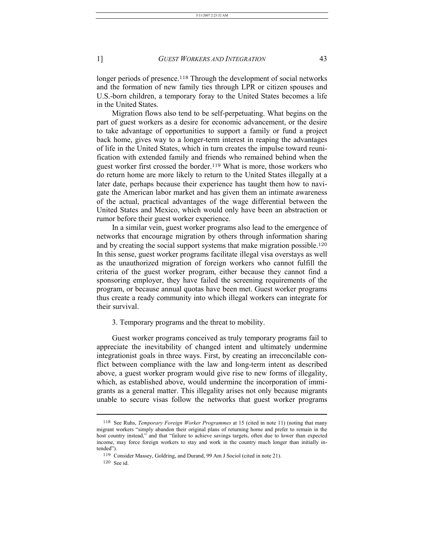longer periods of presence.<sup>118</sup> Through the development of social networks and the formation of new family ties through LPR or citizen spouses and U.S.-born children, a temporary foray to the United States becomes a life in the United States.

Migration flows also tend to be self-perpetuating. What begins on the part of guest workers as a desire for economic advancement, or the desire to take advantage of opportunities to support a family or fund a project back home, gives way to a longer-term interest in reaping the advantages of life in the United States, which in turn creates the impulse toward reunification with extended family and friends who remained behind when the guest worker first crossed the border.119 What is more, those workers who do return home are more likely to return to the United States illegally at a later date, perhaps because their experience has taught them how to navigate the American labor market and has given them an intimate awareness of the actual, practical advantages of the wage differential between the United States and Mexico, which would only have been an abstraction or rumor before their guest worker experience.

In a similar vein, guest worker programs also lead to the emergence of networks that encourage migration by others through information sharing and by creating the social support systems that make migration possible.<sup>120</sup> In this sense, guest worker programs facilitate illegal visa overstays as well as the unauthorized migration of foreign workers who cannot fulfill the criteria of the guest worker program, either because they cannot find a sponsoring employer, they have failed the screening requirements of the program, or because annual quotas have been met. Guest worker programs thus create a ready community into which illegal workers can integrate for their survival.

3. Temporary programs and the threat to mobility.

Guest worker programs conceived as truly temporary programs fail to appreciate the inevitability of changed intent and ultimately undermine integrationist goals in three ways. First, by creating an irreconcilable conflict between compliance with the law and long-term intent as described above, a guest worker program would give rise to new forms of illegality, which, as established above, would undermine the incorporation of immigrants as a general matter. This illegality arises not only because migrants unable to secure visas follow the networks that guest worker programs

<sup>&</sup>lt;sup>118</sup> See Ruhs, *Temporary Foreign Worker Programmes* at 15 (cited in note 11) (noting that many migrant workers "simply abandon their original plans of returning home and prefer to remain in the host country instead," and that "failure to achieve savings targets, often due to lower than expected income, may force foreign workers to stay and work in the country much longer than initially intended").

<sup>119</sup> Consider Massey, Goldring, and Durand, 99 Am J Sociol (cited in note 21). 120 See id.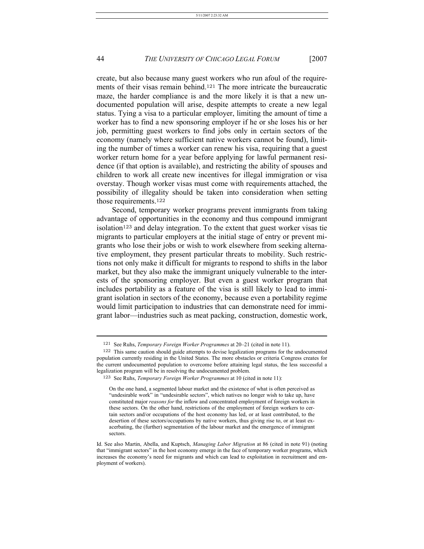create, but also because many guest workers who run afoul of the requirements of their visas remain behind.121 The more intricate the bureaucratic maze, the harder compliance is and the more likely it is that a new undocumented population will arise, despite attempts to create a new legal status. Tying a visa to a particular employer, limiting the amount of time a worker has to find a new sponsoring employer if he or she loses his or her job, permitting guest workers to find jobs only in certain sectors of the economy (namely where sufficient native workers cannot be found), limiting the number of times a worker can renew his visa, requiring that a guest worker return home for a year before applying for lawful permanent residence (if that option is available), and restricting the ability of spouses and children to work all create new incentives for illegal immigration or visa overstay. Though worker visas must come with requirements attached, the possibility of illegality should be taken into consideration when setting those requirements.<sup>122</sup>

Second, temporary worker programs prevent immigrants from taking advantage of opportunities in the economy and thus compound immigrant isolation<sup>123</sup> and delay integration. To the extent that guest worker visas tie migrants to particular employers at the initial stage of entry or prevent migrants who lose their jobs or wish to work elsewhere from seeking alternative employment, they present particular threats to mobility. Such restrictions not only make it difficult for migrants to respond to shifts in the labor market, but they also make the immigrant uniquely vulnerable to the interests of the sponsoring employer. But even a guest worker program that includes portability as a feature of the visa is still likely to lead to immigrant isolation in sectors of the economy, because even a portability regime would limit participation to industries that can demonstrate need for immigrant labor—industries such as meat packing, construction, domestic work,

<sup>123</sup> See Ruhs, Temporary Foreign Worker Programmes at 10 (cited in note 11):

<sup>121</sup> See Ruhs, Temporary Foreign Worker Programmes at 20–21 (cited in note 11).

<sup>122</sup> This same caution should guide attempts to devise legalization programs for the undocumented population currently residing in the United States. The more obstacles or criteria Congress creates for the current undocumented population to overcome before attaining legal status, the less successful a legalization program will be in resolving the undocumented problem.

On the one hand, a segmented labour market and the existence of what is often perceived as "undesirable work" in "undesirable sectors", which natives no longer wish to take up, have constituted major reasons for the inflow and concentrated employment of foreign workers in these sectors. On the other hand, restrictions of the employment of foreign workers to certain sectors and/or occupations of the host economy has led, or at least contributed, to the desertion of these sectors/occupations by native workers, thus giving rise to, or at least exacerbating, the (further) segmentation of the labour market and the emergence of immigrant sectors.

Id. See also Martin, Abella, and Kuptsch, Managing Labor Migration at 86 (cited in note 91) (noting that "immigrant sectors" in the host economy emerge in the face of temporary worker programs, which increases the economy's need for migrants and which can lead to exploitation in recruitment and employment of workers).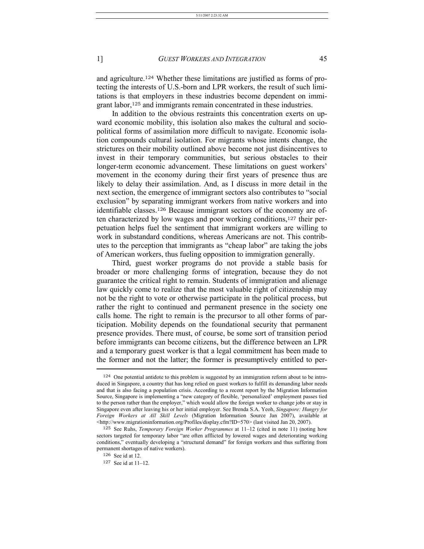and agriculture.124 Whether these limitations are justified as forms of protecting the interests of U.S.-born and LPR workers, the result of such limitations is that employers in these industries become dependent on immigrant labor,125 and immigrants remain concentrated in these industries.

In addition to the obvious restraints this concentration exerts on upward economic mobility, this isolation also makes the cultural and sociopolitical forms of assimilation more difficult to navigate. Economic isolation compounds cultural isolation. For migrants whose intents change, the strictures on their mobility outlined above become not just disincentives to invest in their temporary communities, but serious obstacles to their longer-term economic advancement. These limitations on guest workers' movement in the economy during their first years of presence thus are likely to delay their assimilation. And, as I discuss in more detail in the next section, the emergence of immigrant sectors also contributes to "social exclusion" by separating immigrant workers from native workers and into identifiable classes.126 Because immigrant sectors of the economy are often characterized by low wages and poor working conditions,127 their perpetuation helps fuel the sentiment that immigrant workers are willing to work in substandard conditions, whereas Americans are not. This contributes to the perception that immigrants as "cheap labor" are taking the jobs of American workers, thus fueling opposition to immigration generally.

Third, guest worker programs do not provide a stable basis for broader or more challenging forms of integration, because they do not guarantee the critical right to remain. Students of immigration and alienage law quickly come to realize that the most valuable right of citizenship may not be the right to vote or otherwise participate in the political process, but rather the right to continued and permanent presence in the society one calls home. The right to remain is the precursor to all other forms of participation. Mobility depends on the foundational security that permanent presence provides. There must, of course, be some sort of transition period before immigrants can become citizens, but the difference between an LPR and a temporary guest worker is that a legal commitment has been made to the former and not the latter; the former is presumptively entitled to per- .<br>.

<sup>124</sup> One potential antidote to this problem is suggested by an immigration reform about to be introduced in Singapore, a country that has long relied on guest workers to fulfill its demanding labor needs and that is also facing a population crisis. According to a recent report by the Migration Information Source, Singapore is implementing a "new category of flexible, 'personalized' employment passes tied to the person rather than the employer," which would allow the foreign worker to change jobs or stay in Singapore even after leaving his or her initial employer. See Brenda S.A. Yeoh, Singapore: Hungry for Foreign Workers at All Skill Levels (Migration Information Source Jan 2007), available at <http://www.migrationinformation.org/Profiles/display.cfm?ID=570> (last visited Jan 20, 2007).

<sup>125</sup> See Ruhs, Temporary Foreign Worker Programmes at 11–12 (cited in note 11) (noting how sectors targeted for temporary labor "are often afflicted by lowered wages and deteriorating working conditions," eventually developing a "structural demand" for foreign workers and thus suffering from permanent shortages of native workers).

<sup>126</sup> See id at 12.

<sup>127</sup> See id at 11–12.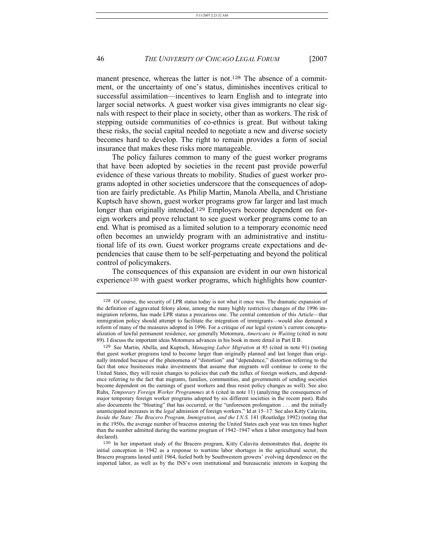manent presence, whereas the latter is not.<sup>128</sup> The absence of a commitment, or the uncertainty of one's status, diminishes incentives critical to successful assimilation—incentives to learn English and to integrate into larger social networks. A guest worker visa gives immigrants no clear signals with respect to their place in society, other than as workers. The risk of stepping outside communities of co-ethnics is great. But without taking these risks, the social capital needed to negotiate a new and diverse society becomes hard to develop. The right to remain provides a form of social insurance that makes these risks more manageable.

The policy failures common to many of the guest worker programs that have been adopted by societies in the recent past provide powerful evidence of these various threats to mobility. Studies of guest worker programs adopted in other societies underscore that the consequences of adoption are fairly predictable. As Philip Martin, Manola Abella, and Christiane Kuptsch have shown, guest worker programs grow far larger and last much longer than originally intended.<sup>129</sup> Employers become dependent on foreign workers and prove reluctant to see guest worker programs come to an end. What is promised as a limited solution to a temporary economic need often becomes an unwieldy program with an administrative and institutional life of its own. Guest worker programs create expectations and dependencies that cause them to be self-perpetuating and beyond the political control of policymakers.

The consequences of this expansion are evident in our own historical experience130 with guest worker programs, which highlights how counter-

l

<sup>&</sup>lt;sup>128</sup> Of course, the security of LPR status today is not what it once was. The dramatic expansion of the definition of aggravated felony alone, among the many highly restrictive changes of the 1996 immigration reforms, has made LPR status a precarious one. The central contention of this Article—that immigration policy should attempt to facilitate the integration of immigrants—would also demand a reform of many of the measures adopted in 1996. For a critique of our legal system's current conceptualization of lawful permanent residence, see generally Motomura, Americans in Waiting (cited in note 89). I discuss the important ideas Motomura advances in his book in more detail in Part II B.

<sup>129</sup> See Martin, Abella, and Kuptsch, Managing Labor Migration at 85 (cited in note 91) (noting that guest worker programs tend to become larger than originally planned and last longer than originally intended because of the phenomena of "distortion" and "dependence," distortion referring to the fact that once businesses make investments that assume that migrants will continue to come to the United States, they will resist changes to policies that curb the influx of foreign workers, and dependence referring to the fact that migrants, families, communities, and governments of sending societies become dependent on the earnings of guest workers and thus resist policy changes as well). See also Ruhs, Temporary Foreign Worker Programmes at 6 (cited in note 11) (analyzing the consequences of major temporary foreign worker programs adopted by six different societies in the recent past). Ruhs also documents the "bloating" that has occurred, or the "unforeseen prolongation . . . and the initially unanticipated increases in the *legal* admission of foreign workers." Id at 15–17. See also Kitty Calavita, Inside the State: The Bracero Program, Immigration, and the I.N.S. 141 (Routledge 1992) (noting that in the 1950s, the average number of braceros entering the United States each year was ten times higher than the number admitted during the wartime program of 1942–1947 when a labor emergency had been declared).

<sup>130</sup> In her important study of the Bracero program, Kitty Calavita demonstrates that, despite its initial conception in 1942 as a response to wartime labor shortages in the agricultural sector, the Bracero programs lasted until 1964, fueled both by Southwestern growers' evolving dependence on the imported labor, as well as by the INS's own institutional and bureaucratic interests in keeping the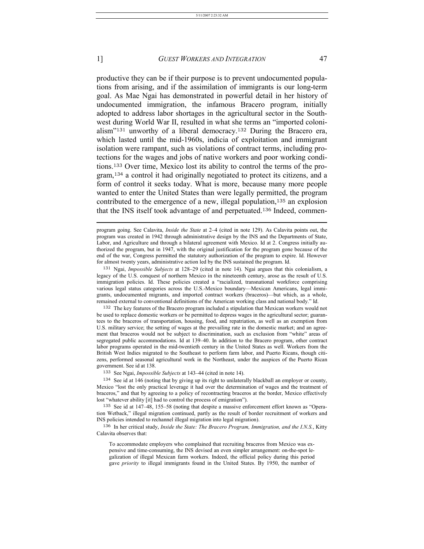productive they can be if their purpose is to prevent undocumented populations from arising, and if the assimilation of immigrants is our long-term goal. As Mae Ngai has demonstrated in powerful detail in her history of undocumented immigration, the infamous Bracero program, initially adopted to address labor shortages in the agricultural sector in the Southwest during World War II, resulted in what she terms an "imported colonialism"131 unworthy of a liberal democracy.132 During the Bracero era, which lasted until the mid-1960s, indicia of exploitation and immigrant isolation were rampant, such as violations of contract terms, including protections for the wages and jobs of native workers and poor working conditions.133 Over time, Mexico lost its ability to control the terms of the program,134 a control it had originally negotiated to protect its citizens, and a form of control it seeks today. What is more, because many more people wanted to enter the United States than were legally permitted, the program contributed to the emergence of a new, illegal population,<sup>135</sup> an explosion that the INS itself took advantage of and perpetuated.136 Indeed, commen-

<sup>132</sup> The key features of the Bracero program included a stipulation that Mexican workers would not be used to replace domestic workers or be permitted to depress wages in the agricultural sector; guarantees to the braceros of transportation, housing, food, and repatriation, as well as an exemption from U.S. military service; the setting of wages at the prevailing rate in the domestic market; and an agreement that braceros would not be subject to discrimination, such as exclusion from "white" areas of segregated public accommodations. Id at 139–40. In addition to the Bracero program, other contract labor programs operated in the mid-twentieth century in the United States as well. Workers from the British West Indies migrated to the Southeast to perform farm labor, and Puerto Ricans, though citizens, performed seasonal agricultural work in the Northeast, under the auspices of the Puerto Rican government. See id at 138.

<sup>133</sup> See Ngai, Impossible Subjects at 143–44 (cited in note 14).

 $\overline{a}$ 

<sup>134</sup> See id at 146 (noting that by giving up its right to unilaterally blackball an employer or county, Mexico "lost the only practical leverage it had over the determination of wages and the treatment of braceros," and that by agreeing to a policy of recontracting braceros at the border, Mexico effectively lost "whatever ability [it] had to control the process of emigration").

135 See id at 147–48, 155–58 (noting that despite a massive enforcement effort known as "Operation Wetback," illegal migration continued, partly as the result of border recruitment of workers and INS policies intended to rechannel illegal migration into legal migration).

136 In her critical study, Inside the State: The Bracero Program, Immigration, and the I.N.S., Kitty Calavita observes that:

To accommodate employers who complained that recruiting braceros from Mexico was expensive and time-consuming, the INS devised an even simpler arrangement: on-the-spot legalization of illegal Mexican farm workers. Indeed, the official policy during this period gave priority to illegal immigrants found in the United States. By 1950, the number of

program going. See Calavita, Inside the State at 2–4 (cited in note 129). As Calavita points out, the program was created in 1942 through administrative design by the INS and the Departments of State, Labor, and Agriculture and through a bilateral agreement with Mexico. Id at 2. Congress initially authorized the program, but in 1947, with the original justification for the program gone because of the end of the war, Congress permitted the statutory authorization of the program to expire. Id. However for almost twenty years, administrative action led by the INS sustained the program. Id.

<sup>131</sup> Ngai, Impossible Subjects at 128–29 (cited in note 14). Ngai argues that this colonialism, a legacy of the U.S. conquest of northern Mexico in the nineteenth century, arose as the result of U.S. immigration policies. Id. These policies created a "racialized, transnational workforce comprising various legal status categories across the U.S.-Mexico boundary—Mexican Americans, legal immigrants, undocumented migrants, and imported contract workers (braceros)—but which, as a whole, remained external to conventional definitions of the American working class and national body." Id.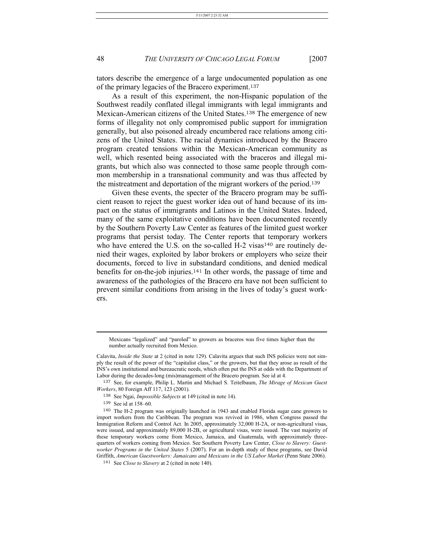tators describe the emergence of a large undocumented population as one of the primary legacies of the Bracero experiment.<sup>137</sup>

As a result of this experiment, the non-Hispanic population of the Southwest readily conflated illegal immigrants with legal immigrants and Mexican-American citizens of the United States.138 The emergence of new forms of illegality not only compromised public support for immigration generally, but also poisoned already encumbered race relations among citizens of the United States. The racial dynamics introduced by the Bracero program created tensions within the Mexican-American community as well, which resented being associated with the braceros and illegal migrants, but which also was connected to those same people through common membership in a transnational community and was thus affected by the mistreatment and deportation of the migrant workers of the period.<sup>139</sup>

Given these events, the specter of the Bracero program may be sufficient reason to reject the guest worker idea out of hand because of its impact on the status of immigrants and Latinos in the United States. Indeed, many of the same exploitative conditions have been documented recently by the Southern Poverty Law Center as features of the limited guest worker programs that persist today. The Center reports that temporary workers who have entered the U.S. on the so-called H-2 visas<sup>140</sup> are routinely denied their wages, exploited by labor brokers or employers who seize their documents, forced to live in substandard conditions, and denied medical benefits for on-the-job injuries.141 In other words, the passage of time and awareness of the pathologies of the Bracero era have not been sufficient to prevent similar conditions from arising in the lives of today's guest workers.

<sup>137</sup> See, for example, Philip L. Martin and Michael S. Teitelbaum, *The Mirage of Mexican Guest* Workers, 80 Foreign Aff 117, 123 (2001).

<sup>139</sup> See id at 158–60.

Mexicans "legalized" and "paroled" to growers as braceros was five times higher than the number actually recruited from Mexico.

Calavita, Inside the State at 2 (cited in note 129). Calavita argues that such INS policies were not simply the result of the power of the "capitalist class," or the growers, but that they arose as result of the INS's own institutional and bureaucratic needs, which often put the INS at odds with the Department of Labor during the decades-long (mis)management of the Bracero program. See id at 4.

<sup>138</sup> See Ngai, Impossible Subjects at 149 (cited in note 14).

<sup>140</sup> The H-2 program was originally launched in 1943 and enabled Florida sugar cane growers to import workers from the Caribbean. The program was revived in 1986, when Congress passed the Immigration Reform and Control Act. In 2005, approximately 32,000 H-2A, or non-agricultural visas, were issued, and approximately 89,000 H-2B, or agricultural visas, were issued. The vast majority of these temporary workers come from Mexico, Jamaica, and Guatemala, with approximately threequarters of workers coming from Mexico. See Southern Poverty Law Center, Close to Slavery: Guestworker Programs in the United States 5 (2007). For an in-depth study of these programs, see David Griffith, American Guestworkers: Jamaicans and Mexicans in the US Labor Market (Penn State 2006).

<sup>141</sup> See Close to Slavery at 2 (cited in note 140).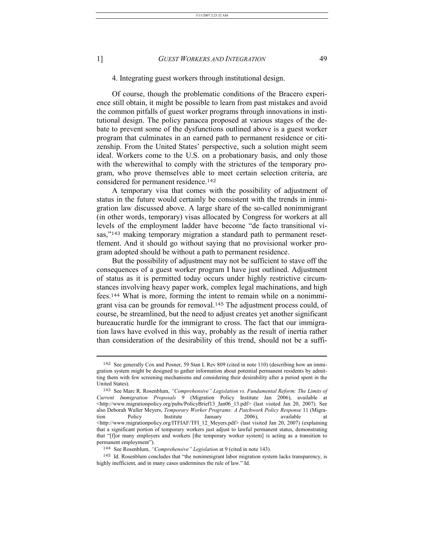$\overline{a}$ 

### 4. Integrating guest workers through institutional design.

Of course, though the problematic conditions of the Bracero experience still obtain, it might be possible to learn from past mistakes and avoid the common pitfalls of guest worker programs through innovations in institutional design. The policy panacea proposed at various stages of the debate to prevent some of the dysfunctions outlined above is a guest worker program that culminates in an earned path to permanent residence or citizenship. From the United States' perspective, such a solution might seem ideal. Workers come to the U.S. on a probationary basis, and only those with the wherewithal to comply with the strictures of the temporary program, who prove themselves able to meet certain selection criteria, are considered for permanent residence.<sup>142</sup>

A temporary visa that comes with the possibility of adjustment of status in the future would certainly be consistent with the trends in immigration law discussed above. A large share of the so-called nonimmigrant (in other words, temporary) visas allocated by Congress for workers at all levels of the employment ladder have become "de facto transitional visas,"<sup>143</sup> making temporary migration a standard path to permanent resettlement. And it should go without saying that no provisional worker program adopted should be without a path to permanent residence.

But the possibility of adjustment may not be sufficient to stave off the consequences of a guest worker program I have just outlined. Adjustment of status as it is permitted today occurs under highly restrictive circumstances involving heavy paper work, complex legal machinations, and high fees.144 What is more, forming the intent to remain while on a nonimmigrant visa can be grounds for removal.145 The adjustment process could, of course, be streamlined, but the need to adjust creates yet another significant bureaucratic hurdle for the immigrant to cross. The fact that our immigration laws have evolved in this way, probably as the result of inertia rather than consideration of the desirability of this trend, should not be a suffi-

<sup>142</sup> See generally Cox and Posner, 59 Stan L Rev 809 (cited in note 110) (describing how an immigration system might be designed to gather information about potential permanent residents by admitting them with few screening mechanisms and considering their desirability after a period spent in the United States).

<sup>143</sup> See Marc R. Rosenblum, "Comprehensive" Legislation vs. Fundamental Reform: The Limits of Current Immigration Proposals 9 (Migration Policy Institute Jan 2006), available at <http://www.migrationpolicy.org/pubs/PolicyBrief13\_Jan06\_13.pdf> (last visited Jan 20, 2007). See also Deborah Waller Meyers, Temporary Worker Programs: A Patchwork Policy Response 11 (Migration Policy Institute January 2006), available at http://www.migrationpolicy.org/ITFIAF/TFI\_12\_Meyers.pdf> (last visited Jan 20, 2007) (explaining> that a significant portion of temporary workers just adjust to lawful permanent status, demonstrating that "[f]or many employers and workers [the temporary worker system] is acting as a transition to permanent employment").

<sup>144</sup> See Rosenblum, "Comprehensive" Legislation at 9 (cited in note 143).

<sup>&</sup>lt;sup>145</sup> Id. Rosenblum concludes that "the nonimmigrant labor migration system lacks transparency, is highly inefficient, and in many cases undermines the rule of law." Id.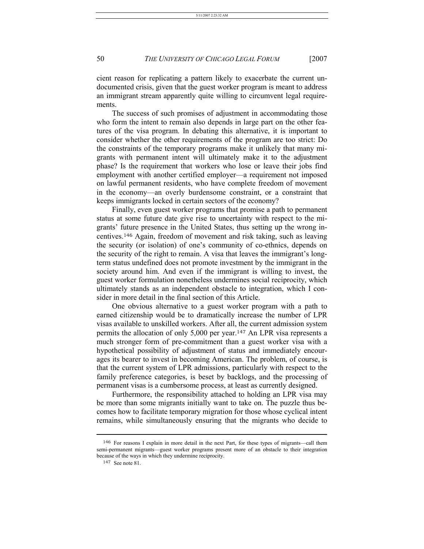cient reason for replicating a pattern likely to exacerbate the current undocumented crisis, given that the guest worker program is meant to address an immigrant stream apparently quite willing to circumvent legal requirements.

The success of such promises of adjustment in accommodating those who form the intent to remain also depends in large part on the other features of the visa program. In debating this alternative, it is important to consider whether the other requirements of the program are too strict: Do the constraints of the temporary programs make it unlikely that many migrants with permanent intent will ultimately make it to the adjustment phase? Is the requirement that workers who lose or leave their jobs find employment with another certified employer—a requirement not imposed on lawful permanent residents, who have complete freedom of movement in the economy—an overly burdensome constraint, or a constraint that keeps immigrants locked in certain sectors of the economy?

Finally, even guest worker programs that promise a path to permanent status at some future date give rise to uncertainty with respect to the migrants' future presence in the United States, thus setting up the wrong incentives.146 Again, freedom of movement and risk taking, such as leaving the security (or isolation) of one's community of co-ethnics, depends on the security of the right to remain. A visa that leaves the immigrant's longterm status undefined does not promote investment by the immigrant in the society around him. And even if the immigrant is willing to invest, the guest worker formulation nonetheless undermines social reciprocity, which ultimately stands as an independent obstacle to integration, which I consider in more detail in the final section of this Article.

One obvious alternative to a guest worker program with a path to earned citizenship would be to dramatically increase the number of LPR visas available to unskilled workers. After all, the current admission system permits the allocation of only 5,000 per year.147 An LPR visa represents a much stronger form of pre-commitment than a guest worker visa with a hypothetical possibility of adjustment of status and immediately encourages its bearer to invest in becoming American. The problem, of course, is that the current system of LPR admissions, particularly with respect to the family preference categories, is beset by backlogs, and the processing of permanent visas is a cumbersome process, at least as currently designed.

Furthermore, the responsibility attached to holding an LPR visa may be more than some migrants initially want to take on. The puzzle thus becomes how to facilitate temporary migration for those whose cyclical intent remains, while simultaneously ensuring that the migrants who decide to

<sup>146</sup> For reasons I explain in more detail in the next Part, for these types of migrants—call them semi-permanent migrants—guest worker programs present more of an obstacle to their integration because of the ways in which they undermine reciprocity.

<sup>147</sup> See note 81.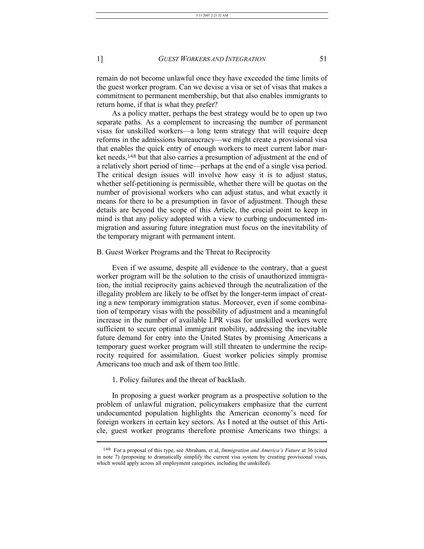remain do not become unlawful once they have exceeded the time limits of the guest worker program. Can we devise a visa or set of visas that makes a commitment to permanent membership, but that also enables immigrants to return home, if that is what they prefer?

As a policy matter, perhaps the best strategy would be to open up two separate paths. As a complement to increasing the number of permanent visas for unskilled workers—a long term strategy that will require deep reforms in the admissions bureaucracy—we might create a provisional visa that enables the quick entry of enough workers to meet current labor market needs,<sup>148</sup> but that also carries a presumption of adjustment at the end of a relatively short period of time—perhaps at the end of a single visa period. The critical design issues will involve how easy it is to adjust status, whether self-petitioning is permissible, whether there will be quotas on the number of provisional workers who can adjust status, and what exactly it means for there to be a presumption in favor of adjustment. Though these details are beyond the scope of this Article, the crucial point to keep in mind is that any policy adopted with a view to curbing undocumented immigration and assuring future integration must focus on the inevitability of the temporary migrant with permanent intent.

#### B. Guest Worker Programs and the Threat to Reciprocity

Even if we assume, despite all evidence to the contrary, that a guest worker program will be the solution to the crisis of unauthorized immigration, the initial reciprocity gains achieved through the neutralization of the illegality problem are likely to be offset by the longer-term impact of creating a new temporary immigration status. Moreover, even if some combination of temporary visas with the possibility of adjustment and a meaningful increase in the number of available LPR visas for unskilled workers were sufficient to secure optimal immigrant mobility, addressing the inevitable future demand for entry into the United States by promising Americans a temporary guest worker program will still threaten to undermine the reciprocity required for assimilation. Guest worker policies simply promise Americans too much and ask of them too little.

1. Policy failures and the threat of backlash.

In proposing a guest worker program as a prospective solution to the problem of unlawful migration, policymakers emphasize that the current undocumented population highlights the American economy's need for foreign workers in certain key sectors. As I noted at the outset of this Article, guest worker programs therefore promise Americans two things: a

<sup>148</sup> For a proposal of this type, see Abraham, et al, Immigration and America's Future at 36 (cited in note 7) (proposing to dramatically simplify the current visa system by creating provisional visas, which would apply across all employment categories, including the unskilled).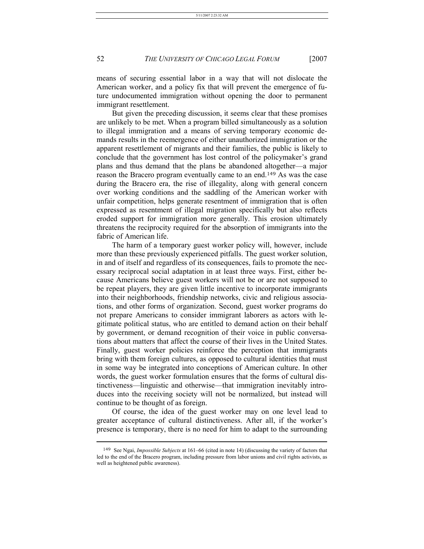means of securing essential labor in a way that will not dislocate the American worker, and a policy fix that will prevent the emergence of future undocumented immigration without opening the door to permanent immigrant resettlement.

But given the preceding discussion, it seems clear that these promises are unlikely to be met. When a program billed simultaneously as a solution to illegal immigration and a means of serving temporary economic demands results in the reemergence of either unauthorized immigration or the apparent resettlement of migrants and their families, the public is likely to conclude that the government has lost control of the policymaker's grand plans and thus demand that the plans be abandoned altogether—a major reason the Bracero program eventually came to an end.149 As was the case during the Bracero era, the rise of illegality, along with general concern over working conditions and the saddling of the American worker with unfair competition, helps generate resentment of immigration that is often expressed as resentment of illegal migration specifically but also reflects eroded support for immigration more generally. This erosion ultimately threatens the reciprocity required for the absorption of immigrants into the fabric of American life.

The harm of a temporary guest worker policy will, however, include more than these previously experienced pitfalls. The guest worker solution, in and of itself and regardless of its consequences, fails to promote the necessary reciprocal social adaptation in at least three ways. First, either because Americans believe guest workers will not be or are not supposed to be repeat players, they are given little incentive to incorporate immigrants into their neighborhoods, friendship networks, civic and religious associations, and other forms of organization. Second, guest worker programs do not prepare Americans to consider immigrant laborers as actors with legitimate political status, who are entitled to demand action on their behalf by government, or demand recognition of their voice in public conversations about matters that affect the course of their lives in the United States. Finally, guest worker policies reinforce the perception that immigrants bring with them foreign cultures, as opposed to cultural identities that must in some way be integrated into conceptions of American culture. In other words, the guest worker formulation ensures that the forms of cultural distinctiveness—linguistic and otherwise—that immigration inevitably introduces into the receiving society will not be normalized, but instead will continue to be thought of as foreign.

Of course, the idea of the guest worker may on one level lead to greater acceptance of cultural distinctiveness. After all, if the worker's presence is temporary, there is no need for him to adapt to the surrounding

<sup>149</sup> See Ngai, Impossible Subjects at 161–66 (cited in note 14) (discussing the variety of factors that led to the end of the Bracero program, including pressure from labor unions and civil rights activists, as well as heightened public awareness).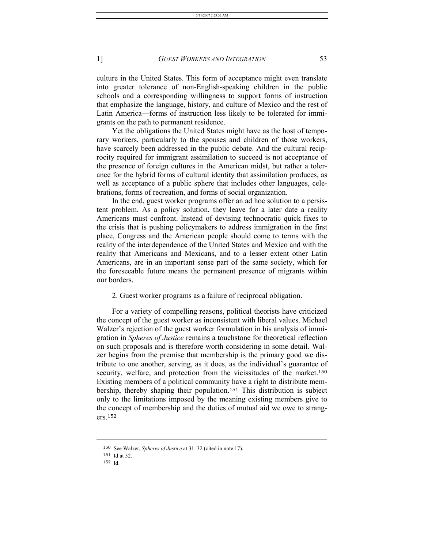culture in the United States. This form of acceptance might even translate into greater tolerance of non-English-speaking children in the public schools and a corresponding willingness to support forms of instruction that emphasize the language, history, and culture of Mexico and the rest of Latin America—forms of instruction less likely to be tolerated for immigrants on the path to permanent residence.

Yet the obligations the United States might have as the host of temporary workers, particularly to the spouses and children of those workers, have scarcely been addressed in the public debate. And the cultural reciprocity required for immigrant assimilation to succeed is not acceptance of the presence of foreign cultures in the American midst, but rather a tolerance for the hybrid forms of cultural identity that assimilation produces, as well as acceptance of a public sphere that includes other languages, celebrations, forms of recreation, and forms of social organization.

In the end, guest worker programs offer an ad hoc solution to a persistent problem. As a policy solution, they leave for a later date a reality Americans must confront. Instead of devising technocratic quick fixes to the crisis that is pushing policymakers to address immigration in the first place, Congress and the American people should come to terms with the reality of the interdependence of the United States and Mexico and with the reality that Americans and Mexicans, and to a lesser extent other Latin Americans, are in an important sense part of the same society, which for the foreseeable future means the permanent presence of migrants within our borders.

2. Guest worker programs as a failure of reciprocal obligation.

For a variety of compelling reasons, political theorists have criticized the concept of the guest worker as inconsistent with liberal values. Michael Walzer's rejection of the guest worker formulation in his analysis of immigration in Spheres of Justice remains a touchstone for theoretical reflection on such proposals and is therefore worth considering in some detail. Walzer begins from the premise that membership is the primary good we distribute to one another, serving, as it does, as the individual's guarantee of security, welfare, and protection from the vicissitudes of the market.<sup>150</sup> Existing members of a political community have a right to distribute membership, thereby shaping their population.151 This distribution is subject only to the limitations imposed by the meaning existing members give to the concept of membership and the duties of mutual aid we owe to strangers.<sup>152</sup>

<sup>150</sup> See Walzer, Spheres of Justice at 31–32 (cited in note 17).

<sup>151</sup> Id at 52.

<sup>152</sup> Id.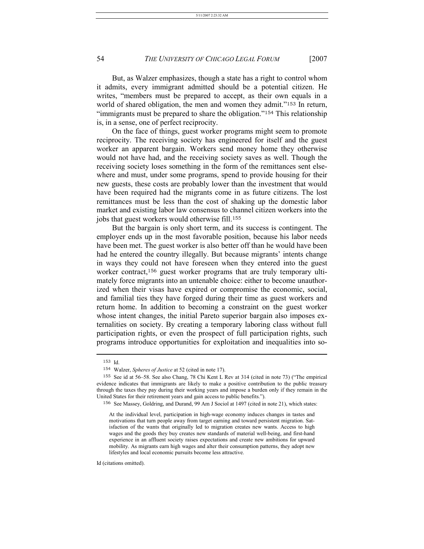But, as Walzer emphasizes, though a state has a right to control whom it admits, every immigrant admitted should be a potential citizen. He writes, "members must be prepared to accept, as their own equals in a world of shared obligation, the men and women they admit."<sup>153</sup> In return, "immigrants must be prepared to share the obligation."154 This relationship is, in a sense, one of perfect reciprocity.

On the face of things, guest worker programs might seem to promote reciprocity. The receiving society has engineered for itself and the guest worker an apparent bargain. Workers send money home they otherwise would not have had, and the receiving society saves as well. Though the receiving society loses something in the form of the remittances sent elsewhere and must, under some programs, spend to provide housing for their new guests, these costs are probably lower than the investment that would have been required had the migrants come in as future citizens. The lost remittances must be less than the cost of shaking up the domestic labor market and existing labor law consensus to channel citizen workers into the jobs that guest workers would otherwise fill.<sup>155</sup>

But the bargain is only short term, and its success is contingent. The employer ends up in the most favorable position, because his labor needs have been met. The guest worker is also better off than he would have been had he entered the country illegally. But because migrants' intents change in ways they could not have foreseen when they entered into the guest worker contract,156 guest worker programs that are truly temporary ultimately force migrants into an untenable choice: either to become unauthorized when their visas have expired or compromise the economic, social, and familial ties they have forged during their time as guest workers and return home. In addition to becoming a constraint on the guest worker whose intent changes, the initial Pareto superior bargain also imposes externalities on society. By creating a temporary laboring class without full participation rights, or even the prospect of full participation rights, such programs introduce opportunities for exploitation and inequalities into so-

Id (citations omitted).

<sup>153</sup> Id.

<sup>154</sup> Walzer, Spheres of Justice at 52 (cited in note 17).

<sup>155</sup> See id at 56–58. See also Chang, 78 Chi Kent L Rev at 314 (cited in note 73) ("The empirical evidence indicates that immigrants are likely to make a positive contribution to the public treasury through the taxes they pay during their working years and impose a burden only if they remain in the United States for their retirement years and gain access to public benefits.").

<sup>156</sup> See Massey, Goldring, and Durand, 99 Am J Sociol at 1497 (cited in note 21), which states:

At the individual level, participation in high-wage economy induces changes in tastes and motivations that turn people away from target earning and toward persistent migration. Satisfaction of the wants that originally led to migration creates new wants. Access to high wages and the goods they buy creates new standards of material well-being, and first-hand experience in an affluent society raises expectations and create new ambitions for upward mobility. As migrants earn high wages and alter their consumption patterns, they adopt new lifestyles and local economic pursuits become less attractive.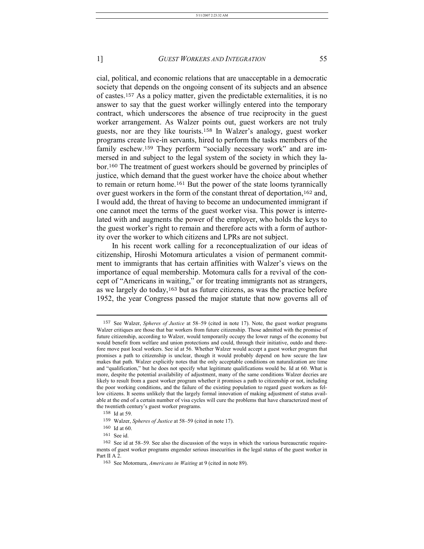cial, political, and economic relations that are unacceptable in a democratic society that depends on the ongoing consent of its subjects and an absence of castes.157 As a policy matter, given the predictable externalities, it is no answer to say that the guest worker willingly entered into the temporary contract, which underscores the absence of true reciprocity in the guest worker arrangement. As Walzer points out, guest workers are not truly guests, nor are they like tourists.158 In Walzer's analogy, guest worker programs create live-in servants, hired to perform the tasks members of the family eschew.<sup>159</sup> They perform "socially necessary work" and are immersed in and subject to the legal system of the society in which they labor.160 The treatment of guest workers should be governed by principles of justice, which demand that the guest worker have the choice about whether to remain or return home.161 But the power of the state looms tyrannically over guest workers in the form of the constant threat of deportation,<sup>162</sup> and, I would add, the threat of having to become an undocumented immigrant if one cannot meet the terms of the guest worker visa. This power is interrelated with and augments the power of the employer, who holds the keys to the guest worker's right to remain and therefore acts with a form of authority over the worker to which citizens and LPRs are not subject.

In his recent work calling for a reconceptualization of our ideas of citizenship, Hiroshi Motomura articulates a vision of permanent commitment to immigrants that has certain affinities with Walzer's views on the importance of equal membership. Motomura calls for a revival of the concept of "Americans in waiting," or for treating immigrants not as strangers, as we largely do today,163 but as future citizens, as was the practice before 1952, the year Congress passed the major statute that now governs all of

 $\overline{a}$ 

<sup>157</sup> See Walzer, Spheres of Justice at 58–59 (cited in note 17). Note, the guest worker programs Walzer critiques are those that bar workers from future citizenship. Those admitted with the promise of future citizenship, according to Walzer, would temporarily occupy the lower rungs of the economy but would benefit from welfare and union protections and could, through their initiative, outdo and therefore move past local workers. See id at 56. Whether Walzer would accept a guest worker program that promises a path to citizenship is unclear, though it would probably depend on how secure the law makes that path. Walzer explicitly notes that the only acceptable conditions on naturalization are time and "qualification," but he does not specify what legitimate qualifications would be. Id at 60. What is more, despite the potential availability of adjustment, many of the same conditions Walzer decries are likely to result from a guest worker program whether it promises a path to citizenship or not, including the poor working conditions, and the failure of the existing population to regard guest workers as fellow citizens. It seems unlikely that the largely formal innovation of making adjustment of status available at the end of a certain number of visa cycles will cure the problems that have characterized most of the twentieth century's guest worker programs.

<sup>158</sup> Id at 59.

<sup>159</sup> Walzer, Spheres of Justice at 58–59 (cited in note 17).

<sup>160</sup> Id at 60.

<sup>161</sup> See id.

<sup>162</sup> See id at 58–59. See also the discussion of the ways in which the various bureaucratic requirements of guest worker programs engender serious insecurities in the legal status of the guest worker in Part II A 2.

<sup>163</sup> See Motomura, Americans in Waiting at 9 (cited in note 89).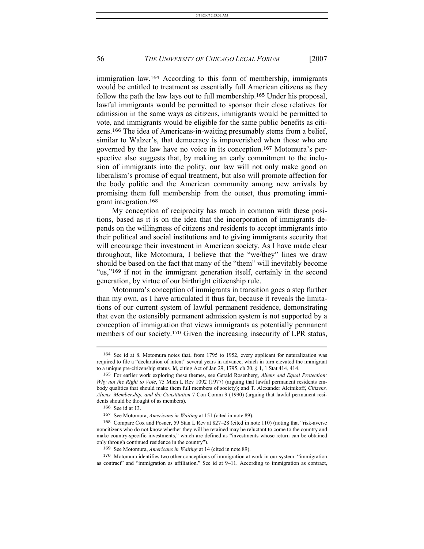immigration law.164 According to this form of membership, immigrants would be entitled to treatment as essentially full American citizens as they follow the path the law lays out to full membership. <sup>165</sup> Under his proposal, lawful immigrants would be permitted to sponsor their close relatives for admission in the same ways as citizens, immigrants would be permitted to vote, and immigrants would be eligible for the same public benefits as citizens.166 The idea of Americans-in-waiting presumably stems from a belief, similar to Walzer's, that democracy is impoverished when those who are governed by the law have no voice in its conception. 167 Motomura's perspective also suggests that, by making an early commitment to the inclusion of immigrants into the polity, our law will not only make good on liberalism's promise of equal treatment, but also will promote affection for the body politic and the American community among new arrivals by promising them full membership from the outset, thus promoting immigrant integration.<sup>168</sup>

My conception of reciprocity has much in common with these positions, based as it is on the idea that the incorporation of immigrants depends on the willingness of citizens and residents to accept immigrants into their political and social institutions and to giving immigrants security that will encourage their investment in American society. As I have made clear throughout, like Motomura, I believe that the "we/they" lines we draw should be based on the fact that many of the "them" will inevitably become "us,"169 if not in the immigrant generation itself, certainly in the second generation, by virtue of our birthright citizenship rule.

Motomura's conception of immigrants in transition goes a step further than my own, as I have articulated it thus far, because it reveals the limitations of our current system of lawful permanent residence, demonstrating that even the ostensibly permanent admission system is not supported by a conception of immigration that views immigrants as potentially permanent members of our society.170 Given the increasing insecurity of LPR status,

<sup>164</sup> See id at 8. Motomura notes that, from 1795 to 1952, every applicant for naturalization was required to file a "declaration of intent" several years in advance, which in turn elevated the immigrant to a unique pre-citizenship status. Id, citing Act of Jan 29, 1795, ch 20, § 1, 1 Stat 414, 414.

<sup>165</sup> For earlier work exploring these themes, see Gerald Rosenberg, Aliens and Equal Protection: Why not the Right to Vote, 75 Mich L Rev 1092 (1977) (arguing that lawful permanent residents embody qualities that should make them full members of society); and T. Alexander Aleinikoff, Citizens, Aliens, Membership, and the Constitution 7 Con Comm 9 (1990) (arguing that lawful permanent residents should be thought of as members).

<sup>166</sup> See id at 13.

<sup>167</sup> See Motomura, Americans in Waiting at 151 (cited in note 89).

<sup>168</sup> Compare Cox and Posner, 59 Stan L Rev at 827–28 (cited in note 110) (noting that "risk-averse noncitizens who do not know whether they will be retained may be reluctant to come to the country and make country-specific investments," which are defined as "investments whose return can be obtained only through continued residence in the country").

<sup>169</sup> See Motomura, Americans in Waiting at 14 (cited in note 89).

<sup>170</sup> Motomura identifies two other conceptions of immigration at work in our system: "immigration as contract" and "immigration as affiliation." See id at 9–11. According to immigration as contract,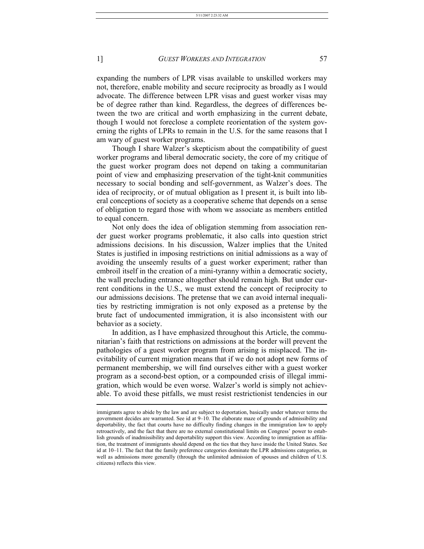expanding the numbers of LPR visas available to unskilled workers may not, therefore, enable mobility and secure reciprocity as broadly as I would advocate. The difference between LPR visas and guest worker visas may be of degree rather than kind. Regardless, the degrees of differences between the two are critical and worth emphasizing in the current debate, though I would not foreclose a complete reorientation of the system governing the rights of LPRs to remain in the U.S. for the same reasons that I am wary of guest worker programs.

Though I share Walzer's skepticism about the compatibility of guest worker programs and liberal democratic society, the core of my critique of the guest worker program does not depend on taking a communitarian point of view and emphasizing preservation of the tight-knit communities necessary to social bonding and self-government, as Walzer's does. The idea of reciprocity, or of mutual obligation as I present it, is built into liberal conceptions of society as a cooperative scheme that depends on a sense of obligation to regard those with whom we associate as members entitled to equal concern.

Not only does the idea of obligation stemming from association render guest worker programs problematic, it also calls into question strict admissions decisions. In his discussion, Walzer implies that the United States is justified in imposing restrictions on initial admissions as a way of avoiding the unseemly results of a guest worker experiment; rather than embroil itself in the creation of a mini-tyranny within a democratic society, the wall precluding entrance altogether should remain high. But under current conditions in the U.S., we must extend the concept of reciprocity to our admissions decisions. The pretense that we can avoid internal inequalities by restricting immigration is not only exposed as a pretense by the brute fact of undocumented immigration, it is also inconsistent with our behavior as a society.

In addition, as I have emphasized throughout this Article, the communitarian's faith that restrictions on admissions at the border will prevent the pathologies of a guest worker program from arising is misplaced. The inevitability of current migration means that if we do not adopt new forms of permanent membership, we will find ourselves either with a guest worker program as a second-best option, or a compounded crisis of illegal immigration, which would be even worse. Walzer's world is simply not achievable. To avoid these pitfalls, we must resist restrictionist tendencies in our

l

immigrants agree to abide by the law and are subject to deportation, basically under whatever terms the government decides are warranted. See id at 9–10. The elaborate maze of grounds of admissibility and deportability, the fact that courts have no difficulty finding changes in the immigration law to apply retroactively, and the fact that there are no external constitutional limits on Congress' power to establish grounds of inadmissibility and deportability support this view. According to immigration as affiliation, the treatment of immigrants should depend on the ties that they have inside the United States. See id at 10–11. The fact that the family preference categories dominate the LPR admissions categories, as well as admissions more generally (through the unlimited admission of spouses and children of U.S. citizens) reflects this view.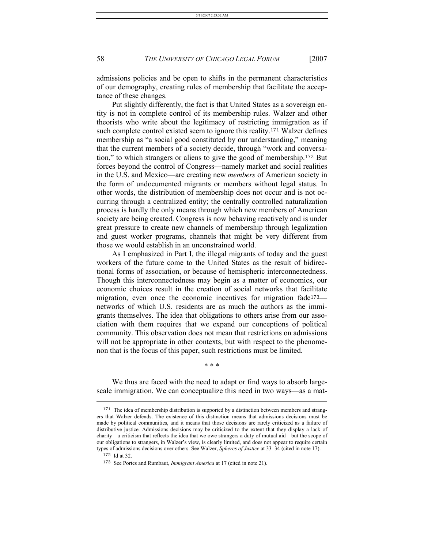admissions policies and be open to shifts in the permanent characteristics of our demography, creating rules of membership that facilitate the acceptance of these changes.

Put slightly differently, the fact is that United States as a sovereign entity is not in complete control of its membership rules. Walzer and other theorists who write about the legitimacy of restricting immigration as if such complete control existed seem to ignore this reality.<sup>171</sup> Walzer defines membership as "a social good constituted by our understanding," meaning that the current members of a society decide, through "work and conversation," to which strangers or aliens to give the good of membership.172 But forces beyond the control of Congress—namely market and social realities in the U.S. and Mexico—are creating new members of American society in the form of undocumented migrants or members without legal status. In other words, the distribution of membership does not occur and is not occurring through a centralized entity; the centrally controlled naturalization process is hardly the only means through which new members of American society are being created. Congress is now behaving reactively and is under great pressure to create new channels of membership through legalization and guest worker programs, channels that might be very different from those we would establish in an unconstrained world.

As I emphasized in Part I, the illegal migrants of today and the guest workers of the future come to the United States as the result of bidirectional forms of association, or because of hemispheric interconnectedness. Though this interconnectedness may begin as a matter of economics, our economic choices result in the creation of social networks that facilitate migration, even once the economic incentives for migration fade<sup>173</sup> networks of which U.S. residents are as much the authors as the immigrants themselves. The idea that obligations to others arise from our association with them requires that we expand our conceptions of political community. This observation does not mean that restrictions on admissions will not be appropriate in other contexts, but with respect to the phenomenon that is the focus of this paper, such restrictions must be limited.

\* \* \*

We thus are faced with the need to adapt or find ways to absorb largescale immigration. We can conceptualize this need in two ways—as a mat-

<sup>&</sup>lt;sup>171</sup> The idea of membership distribution is supported by a distinction between members and strangers that Walzer defends. The existence of this distinction means that admissions decisions must be made by political communities, and it means that those decisions are rarely criticized as a failure of distributive justice. Admissions decisions may be criticized to the extent that they display a lack of charity—a criticism that reflects the idea that we owe strangers a duty of mutual aid—but the scope of our obligations to strangers, in Walzer's view, is clearly limited, and does not appear to require certain types of admissions decisions over others. See Walzer, Spheres of Justice at 33–34 (cited in note 17).

<sup>172</sup> Id at 32.

<sup>173</sup> See Portes and Rumbaut, Immigrant America at 17 (cited in note 21).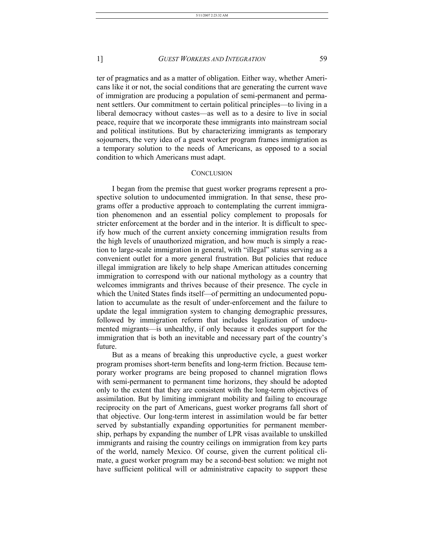ter of pragmatics and as a matter of obligation. Either way, whether Americans like it or not, the social conditions that are generating the current wave of immigration are producing a population of semi-permanent and permanent settlers. Our commitment to certain political principles—to living in a liberal democracy without castes—as well as to a desire to live in social peace, require that we incorporate these immigrants into mainstream social and political institutions. But by characterizing immigrants as temporary sojourners, the very idea of a guest worker program frames immigration as a temporary solution to the needs of Americans, as opposed to a social condition to which Americans must adapt.

#### **CONCLUSION**

I began from the premise that guest worker programs represent a prospective solution to undocumented immigration. In that sense, these programs offer a productive approach to contemplating the current immigration phenomenon and an essential policy complement to proposals for stricter enforcement at the border and in the interior. It is difficult to specify how much of the current anxiety concerning immigration results from the high levels of unauthorized migration, and how much is simply a reaction to large-scale immigration in general, with "illegal" status serving as a convenient outlet for a more general frustration. But policies that reduce illegal immigration are likely to help shape American attitudes concerning immigration to correspond with our national mythology as a country that welcomes immigrants and thrives because of their presence. The cycle in which the United States finds itself—of permitting an undocumented population to accumulate as the result of under-enforcement and the failure to update the legal immigration system to changing demographic pressures, followed by immigration reform that includes legalization of undocumented migrants—is unhealthy, if only because it erodes support for the immigration that is both an inevitable and necessary part of the country's future.

But as a means of breaking this unproductive cycle, a guest worker program promises short-term benefits and long-term friction. Because temporary worker programs are being proposed to channel migration flows with semi-permanent to permanent time horizons, they should be adopted only to the extent that they are consistent with the long-term objectives of assimilation. But by limiting immigrant mobility and failing to encourage reciprocity on the part of Americans, guest worker programs fall short of that objective. Our long-term interest in assimilation would be far better served by substantially expanding opportunities for permanent membership, perhaps by expanding the number of LPR visas available to unskilled immigrants and raising the country ceilings on immigration from key parts of the world, namely Mexico. Of course, given the current political climate, a guest worker program may be a second-best solution: we might not have sufficient political will or administrative capacity to support these